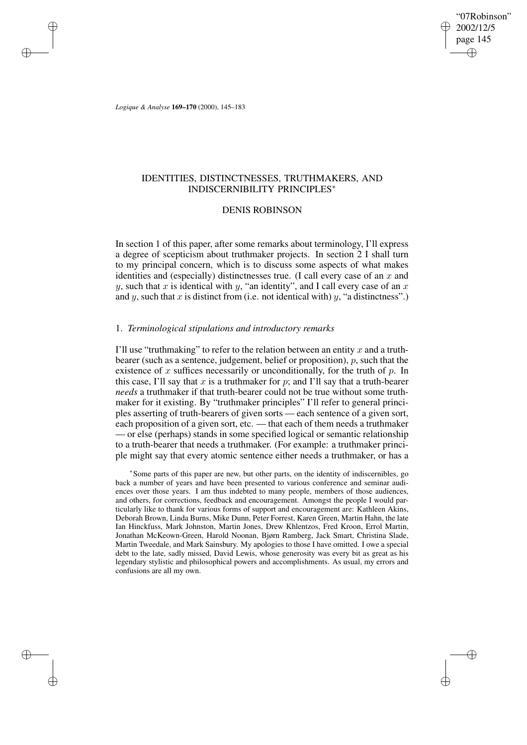"07Robinson" 2002/12/5 page 145 ✐ ✐

✐

✐

*Logique & Analyse* **169–170** (2000), 145–183

✐

✐

✐

✐

# IDENTITIES, DISTINCTNESSES, TRUTHMAKERS, AND INDISCERNIBILITY PRINCIPLES<sup>∗</sup>

# DENIS ROBINSON

In section 1 of this paper, after some remarks about terminology, I'll express a degree of scepticism about truthmaker projects. In section 2 I shall turn to my principal concern, which is to discuss some aspects of what makes identities and (especially) distinctnesses true. (I call every case of an  $x$  and y, such that x is identical with y, "an identity", and I call every case of an x and y, such that x is distinct from (i.e. not identical with) y, "a distinctness".)

# 1. *Terminological stipulations and introductory remarks*

I'll use "truthmaking" to refer to the relation between an entity x and a truthbearer (such as a sentence, judgement, belief or proposition), p, such that the existence of x suffices necessarily or unconditionally, for the truth of  $p$ . In this case, I'll say that x is a truthmaker for p; and I'll say that a truth-bearer *needs* a truthmaker if that truth-bearer could not be true without some truthmaker for it existing. By "truthmaker principles" I'll refer to general principles asserting of truth-bearers of given sorts — each sentence of a given sort, each proposition of a given sort, etc. — that each of them needs a truthmaker — or else (perhaps) stands in some specified logical or semantic relationship to a truth-bearer that needs a truthmaker. (For example: a truthmaker principle might say that every atomic sentence either needs a truthmaker, or has a

∗ Some parts of this paper are new, but other parts, on the identity of indiscernibles, go back a number of years and have been presented to various conference and seminar audiences over those years. I am thus indebted to many people, members of those audiences, and others, for corrections, feedback and encouragement. Amongst the people I would particularly like to thank for various forms of support and encouragement are: Kathleen Akins, Deborah Brown, Linda Burns, Mike Dunn, Peter Forrest, Karen Green, Martin Hahn, the late Ian Hinckfuss, Mark Johnston, Martin Jones, Drew Khlentzos, Fred Kroon, Errol Martin, Jonathan McKeown-Green, Harold Noonan, Bjørn Ramberg, Jack Smart, Christina Slade, Martin Tweedale, and Mark Sainsbury. My apologies to those I have omitted. I owe a special debt to the late, sadly missed, David Lewis, whose generosity was every bit as great as his legendary stylistic and philosophical powers and accomplishments. As usual, my errors and confusions are all my own.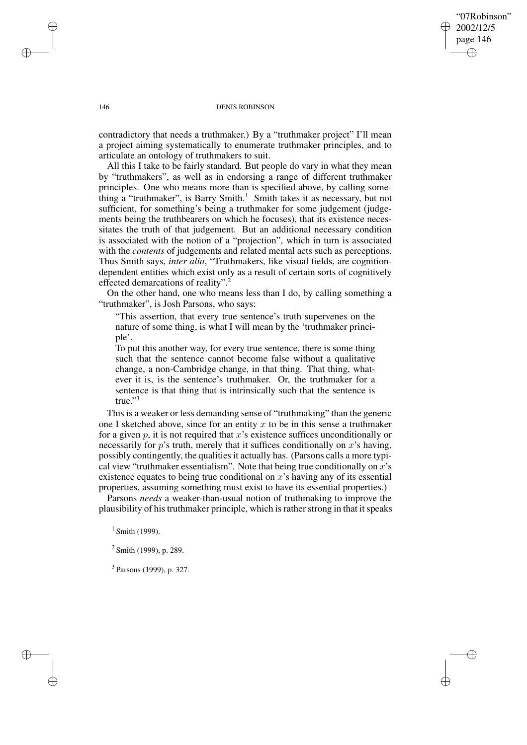"07Robinson" 2002/12/5 page 146 ✐ ✐

✐

✐

## 146 DENIS ROBINSON

contradictory that needs a truthmaker.) By a "truthmaker project" I'll mean a project aiming systematically to enumerate truthmaker principles, and to articulate an ontology of truthmakers to suit.

All this I take to be fairly standard. But people do vary in what they mean by "truthmakers", as well as in endorsing a range of different truthmaker principles. One who means more than is specified above, by calling something a "truthmaker", is Barry Smith.<sup>1</sup> Smith takes it as necessary, but not sufficient, for something's being a truthmaker for some judgement (judgements being the truthbearers on which he focuses), that its existence necessitates the truth of that judgement. But an additional necessary condition is associated with the notion of a "projection", which in turn is associated with the *contents* of judgements and related mental acts such as perceptions. Thus Smith says, *inter alia*, "Truthmakers, like visual fields, are cognitiondependent entities which exist only as a result of certain sorts of cognitively effected demarcations of reality".<sup>2</sup>

On the other hand, one who means less than I do, by calling something a "truthmaker", is Josh Parsons, who says:

"This assertion, that every true sentence's truth supervenes on the nature of some thing, is what I will mean by the 'truthmaker principle'.

To put this another way, for every true sentence, there is some thing such that the sentence cannot become false without a qualitative change, a non-Cambridge change, in that thing. That thing, whatever it is, is the sentence's truthmaker. Or, the truthmaker for a sentence is that thing that is intrinsically such that the sentence is true." 3

This is a weaker or less demanding sense of "truthmaking" than the generic one I sketched above, since for an entity x to be in this sense a truthmaker for a given p, it is not required that x's existence suffices unconditionally or necessarily for  $p$ 's truth, merely that it suffices conditionally on  $x$ 's having, possibly contingently, the qualities it actually has. (Parsons calls a more typical view "truthmaker essentialism". Note that being true conditionally on  $x$ 's existence equates to being true conditional on  $x$ 's having any of its essential properties, assuming something must exist to have its essential properties.)

Parsons *needs* a weaker-than-usual notion of truthmaking to improve the plausibility of his truthmaker principle, which is rather strong in that it speaks

 $1$  Smith (1999).

<sup>2</sup> Smith (1999), p. 289.

<sup>3</sup> Parsons (1999), p. 327.

✐

✐

✐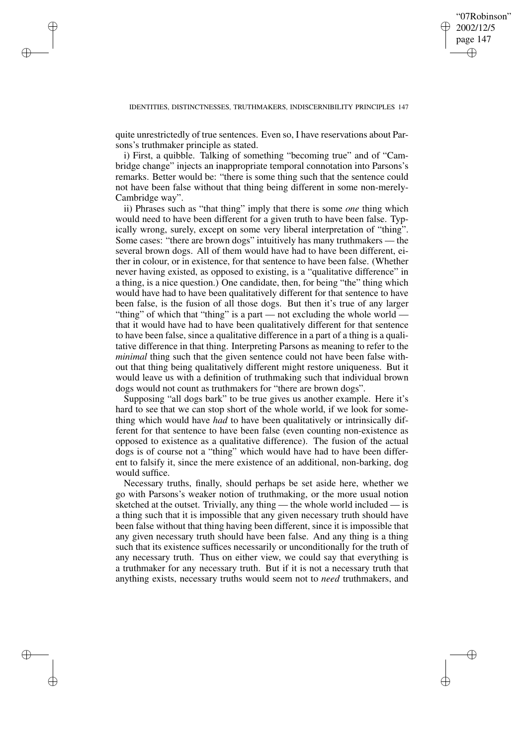✐

quite unrestrictedly of true sentences. Even so, I have reservations about Parsons's truthmaker principle as stated.

✐

✐

✐

✐

i) First, a quibble. Talking of something "becoming true" and of "Cambridge change" injects an inappropriate temporal connotation into Parsons's remarks. Better would be: "there is some thing such that the sentence could not have been false without that thing being different in some non-merely-Cambridge way".

ii) Phrases such as "that thing" imply that there is some *one* thing which would need to have been different for a given truth to have been false. Typically wrong, surely, except on some very liberal interpretation of "thing". Some cases: "there are brown dogs" intuitively has many truthmakers — the several brown dogs. All of them would have had to have been different, either in colour, or in existence, for that sentence to have been false. (Whether never having existed, as opposed to existing, is a "qualitative difference" in a thing, is a nice question.) One candidate, then, for being "the" thing which would have had to have been qualitatively different for that sentence to have been false, is the fusion of all those dogs. But then it's true of any larger "thing" of which that "thing" is a part — not excluding the whole world that it would have had to have been qualitatively different for that sentence to have been false, since a qualitative difference in a part of a thing is a qualitative difference in that thing. Interpreting Parsons as meaning to refer to the *minimal* thing such that the given sentence could not have been false without that thing being qualitatively different might restore uniqueness. But it would leave us with a definition of truthmaking such that individual brown dogs would not count as truthmakers for "there are brown dogs".

Supposing "all dogs bark" to be true gives us another example. Here it's hard to see that we can stop short of the whole world, if we look for something which would have *had* to have been qualitatively or intrinsically different for that sentence to have been false (even counting non-existence as opposed to existence as a qualitative difference). The fusion of the actual dogs is of course not a "thing" which would have had to have been different to falsify it, since the mere existence of an additional, non-barking, dog would suffice.

Necessary truths, finally, should perhaps be set aside here, whether we go with Parsons's weaker notion of truthmaking, or the more usual notion sketched at the outset. Trivially, any thing — the whole world included — is a thing such that it is impossible that any given necessary truth should have been false without that thing having been different, since it is impossible that any given necessary truth should have been false. And any thing is a thing such that its existence suffices necessarily or unconditionally for the truth of any necessary truth. Thus on either view, we could say that everything is a truthmaker for any necessary truth. But if it is not a necessary truth that anything exists, necessary truths would seem not to *need* truthmakers, and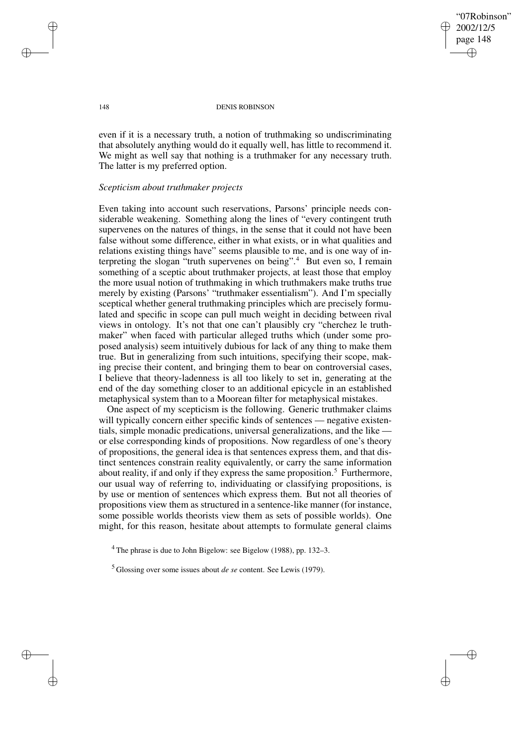"07Robinson" 2002/12/5 page 148 ✐ ✐

✐

✐

## 148 DENIS ROBINSON

even if it is a necessary truth, a notion of truthmaking so undiscriminating that absolutely anything would do it equally well, has little to recommend it. We might as well say that nothing is a truthmaker for any necessary truth. The latter is my preferred option.

# *Scepticism about truthmaker projects*

Even taking into account such reservations, Parsons' principle needs considerable weakening. Something along the lines of "every contingent truth supervenes on the natures of things, in the sense that it could not have been false without some difference, either in what exists, or in what qualities and relations existing things have" seems plausible to me, and is one way of interpreting the slogan "truth supervenes on being".<sup>4</sup> But even so, I remain something of a sceptic about truthmaker projects, at least those that employ the more usual notion of truthmaking in which truthmakers make truths true merely by existing (Parsons' "truthmaker essentialism"). And I'm specially sceptical whether general truthmaking principles which are precisely formulated and specific in scope can pull much weight in deciding between rival views in ontology. It's not that one can't plausibly cry "cherchez le truthmaker" when faced with particular alleged truths which (under some proposed analysis) seem intuitively dubious for lack of any thing to make them true. But in generalizing from such intuitions, specifying their scope, making precise their content, and bringing them to bear on controversial cases, I believe that theory-ladenness is all too likely to set in, generating at the end of the day something closer to an additional epicycle in an established metaphysical system than to a Moorean filter for metaphysical mistakes.

One aspect of my scepticism is the following. Generic truthmaker claims will typically concern either specific kinds of sentences — negative existentials, simple monadic predications, universal generalizations, and the like or else corresponding kinds of propositions. Now regardless of one's theory of propositions, the general idea is that sentences express them, and that distinct sentences constrain reality equivalently, or carry the same information about reality, if and only if they express the same proposition.<sup>5</sup> Furthermore, our usual way of referring to, individuating or classifying propositions, is by use or mention of sentences which express them. But not all theories of propositions view them as structured in a sentence-like manner (for instance, some possible worlds theorists view them as sets of possible worlds). One might, for this reason, hesitate about attempts to formulate general claims

✐

✐

✐

<sup>&</sup>lt;sup>4</sup> The phrase is due to John Bigelow: see Bigelow (1988), pp. 132–3.

<sup>5</sup> Glossing over some issues about *de se* content. See Lewis (1979).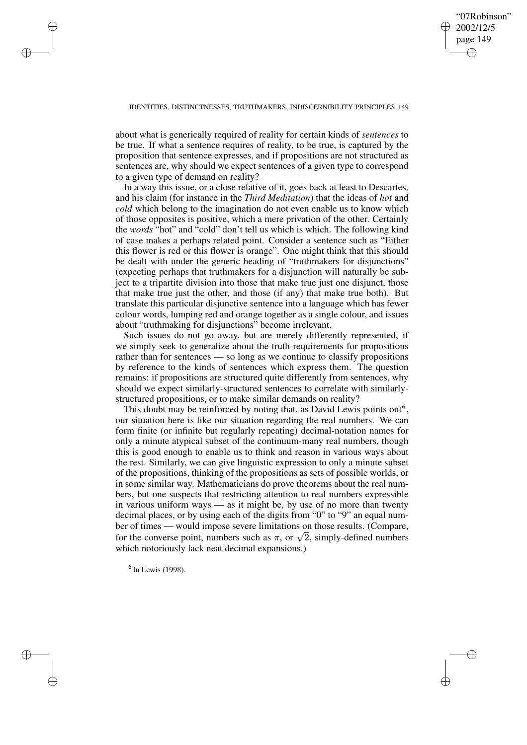# "07Robinson" 2002/12/5 page 149 ✐ ✐

✐

✐

## IDENTITIES, DISTINCTNESSES, TRUTHMAKERS, INDISCERNIBILITY PRINCIPLES 149

about what is generically required of reality for certain kinds of *sentences* to be true. If what a sentence requires of reality, to be true, is captured by the proposition that sentence expresses, and if propositions are not structured as sentences are, why should we expect sentences of a given type to correspond to a given type of demand on reality?

In a way this issue, or a close relative of it, goes back at least to Descartes, and his claim (for instance in the *Third Meditation*) that the ideas of *hot* and *cold* which belong to the imagination do not even enable us to know which of those opposites is positive, which a mere privation of the other. Certainly the *words* "hot" and "cold" don't tell us which is which. The following kind of case makes a perhaps related point. Consider a sentence such as "Either this flower is red or this flower is orange". One might think that this should be dealt with under the generic heading of "truthmakers for disjunctions" (expecting perhaps that truthmakers for a disjunction will naturally be subject to a tripartite division into those that make true just one disjunct, those that make true just the other, and those (if any) that make true both). But translate this particular disjunctive sentence into a language which has fewer colour words, lumping red and orange together as a single colour, and issues about "truthmaking for disjunctions" become irrelevant.

Such issues do not go away, but are merely differently represented, if we simply seek to generalize about the truth-requirements for propositions rather than for sentences — so long as we continue to classify propositions by reference to the kinds of sentences which express them. The question remains: if propositions are structured quite differently from sentences, why should we expect similarly-structured sentences to correlate with similarlystructured propositions, or to make similar demands on reality?

This doubt may be reinforced by noting that, as David Lewis points out<sup>6</sup>, our situation here is like our situation regarding the real numbers. We can form finite (or infinite but regularly repeating) decimal-notation names for only a minute atypical subset of the continuum-many real numbers, though this is good enough to enable us to think and reason in various ways about the rest. Similarly, we can give linguistic expression to only a minute subset of the propositions, thinking of the propositions as sets of possible worlds, or in some similar way. Mathematicians do prove theorems about the real numbers, but one suspects that restricting attention to real numbers expressible in various uniform ways — as it might be, by use of no more than twenty decimal places, or by using each of the digits from "0" to "9" an equal number of times — would impose severe limitations on those results. (Compare, for the converse point, numbers such as  $\pi$ , or  $\sqrt{2}$ , simply-defined numbers which notoriously lack neat decimal expansions.)

 $<sup>6</sup>$  In Lewis (1998).</sup>

✐

✐

✐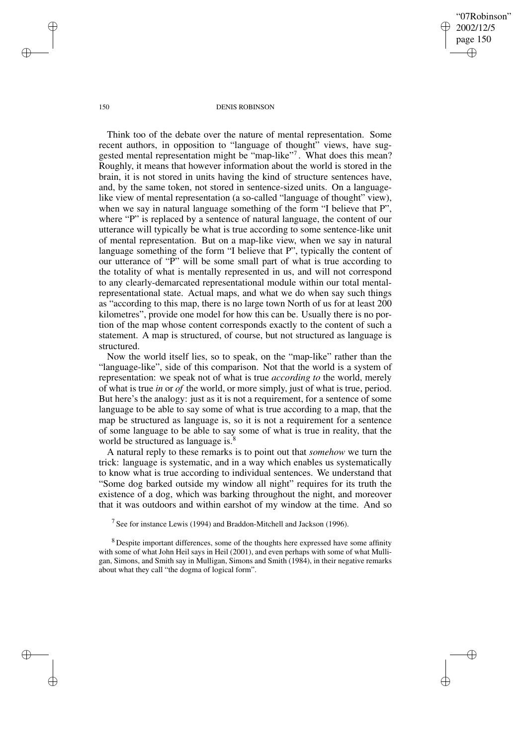"07Robinson" 2002/12/5 page 150 ✐ ✐

✐

✐

#### 150 DENIS ROBINSON

Think too of the debate over the nature of mental representation. Some recent authors, in opposition to "language of thought" views, have suggested mental representation might be "map-like"<sup>7</sup>. What does this mean? Roughly, it means that however information about the world is stored in the brain, it is not stored in units having the kind of structure sentences have, and, by the same token, not stored in sentence-sized units. On a languagelike view of mental representation (a so-called "language of thought" view), when we say in natural language something of the form "I believe that P", where "P" is replaced by a sentence of natural language, the content of our utterance will typically be what is true according to some sentence-like unit of mental representation. But on a map-like view, when we say in natural language something of the form "I believe that P", typically the content of our utterance of "P" will be some small part of what is true according to the totality of what is mentally represented in us, and will not correspond to any clearly-demarcated representational module within our total mentalrepresentational state. Actual maps, and what we do when say such things as "according to this map, there is no large town North of us for at least 200 kilometres", provide one model for how this can be. Usually there is no portion of the map whose content corresponds exactly to the content of such a statement. A map is structured, of course, but not structured as language is structured.

Now the world itself lies, so to speak, on the "map-like" rather than the "language-like", side of this comparison. Not that the world is a system of representation: we speak not of what is true *according to* the world, merely of what is true *in* or *of* the world, or more simply, just of what is true, period. But here's the analogy: just as it is not a requirement, for a sentence of some language to be able to say some of what is true according to a map, that the map be structured as language is, so it is not a requirement for a sentence of some language to be able to say some of what is true in reality, that the world be structured as language is.<sup>8</sup>

A natural reply to these remarks is to point out that *somehow* we turn the trick: language is systematic, and in a way which enables us systematically to know what is true according to individual sentences. We understand that "Some dog barked outside my window all night" requires for its truth the existence of a dog, which was barking throughout the night, and moreover that it was outdoors and within earshot of my window at the time. And so

<sup>7</sup> See for instance Lewis (1994) and Braddon-Mitchell and Jackson (1996).

<sup>8</sup> Despite important differences, some of the thoughts here expressed have some affinity with some of what John Heil says in Heil (2001), and even perhaps with some of what Mulligan, Simons, and Smith say in Mulligan, Simons and Smith (1984), in their negative remarks about what they call "the dogma of logical form".

✐

✐

✐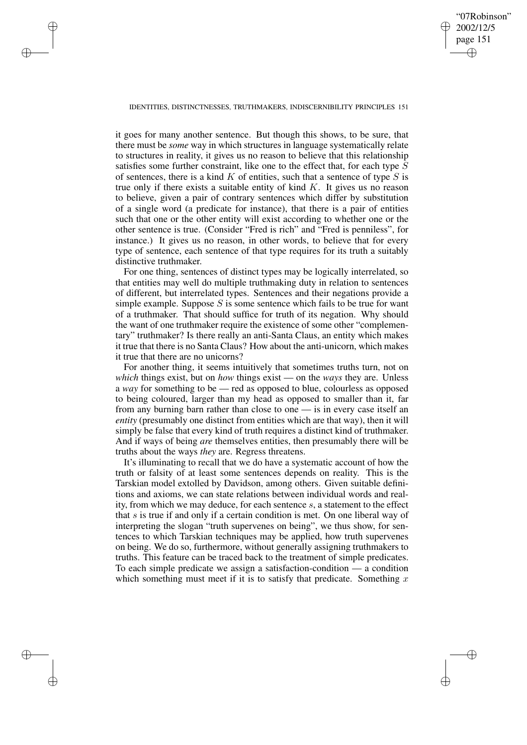"07Robinson" 2002/12/5 page 151 ✐ ✐

✐

✐

## IDENTITIES, DISTINCTNESSES, TRUTHMAKERS, INDISCERNIBILITY PRINCIPLES 151

✐

✐

✐

✐

it goes for many another sentence. But though this shows, to be sure, that there must be *some* way in which structures in language systematically relate to structures in reality, it gives us no reason to believe that this relationship satisfies some further constraint, like one to the effect that, for each type  $S$ of sentences, there is a kind  $K$  of entities, such that a sentence of type  $S$  is true only if there exists a suitable entity of kind  $K$ . It gives us no reason to believe, given a pair of contrary sentences which differ by substitution of a single word (a predicate for instance), that there is a pair of entities such that one or the other entity will exist according to whether one or the other sentence is true. (Consider "Fred is rich" and "Fred is penniless", for instance.) It gives us no reason, in other words, to believe that for every type of sentence, each sentence of that type requires for its truth a suitably distinctive truthmaker.

For one thing, sentences of distinct types may be logically interrelated, so that entities may well do multiple truthmaking duty in relation to sentences of different, but interrelated types. Sentences and their negations provide a simple example. Suppose  $S$  is some sentence which fails to be true for want of a truthmaker. That should suffice for truth of its negation. Why should the want of one truthmaker require the existence of some other "complementary" truthmaker? Is there really an anti-Santa Claus, an entity which makes it true that there is no Santa Claus? How about the anti-unicorn, which makes it true that there are no unicorns?

For another thing, it seems intuitively that sometimes truths turn, not on *which* things exist, but on *how* things exist — on the *ways* they are. Unless a *way* for something to be — red as opposed to blue, colourless as opposed to being coloured, larger than my head as opposed to smaller than it, far from any burning barn rather than close to one — is in every case itself an *entity* (presumably one distinct from entities which are that way), then it will simply be false that every kind of truth requires a distinct kind of truthmaker. And if ways of being *are* themselves entities, then presumably there will be truths about the ways *they* are. Regress threatens.

It's illuminating to recall that we do have a systematic account of how the truth or falsity of at least some sentences depends on reality. This is the Tarskian model extolled by Davidson, among others. Given suitable definitions and axioms, we can state relations between individual words and reality, from which we may deduce, for each sentence s, a statement to the effect that  $s$  is true if and only if a certain condition is met. On one liberal way of interpreting the slogan "truth supervenes on being", we thus show, for sentences to which Tarskian techniques may be applied, how truth supervenes on being. We do so, furthermore, without generally assigning truthmakers to truths. This feature can be traced back to the treatment of simple predicates. To each simple predicate we assign a satisfaction-condition — a condition which something must meet if it is to satisfy that predicate. Something  $x$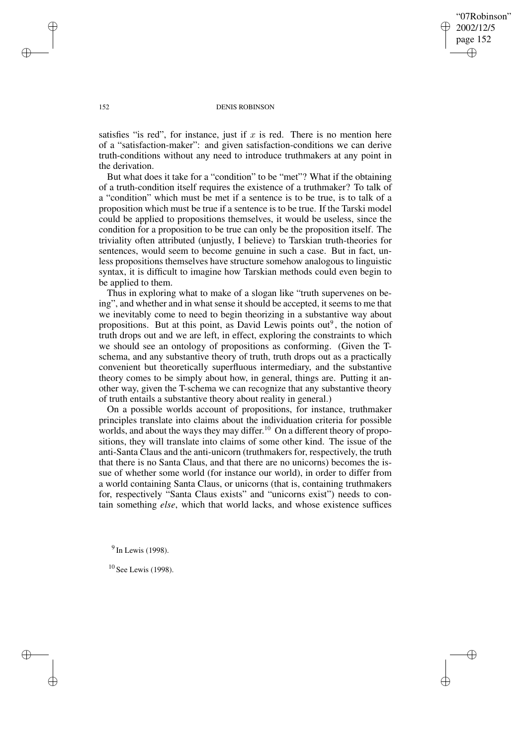"07Robinson" 2002/12/5 page 152 ✐ ✐

✐

✐

## 152 DENIS ROBINSON

satisfies "is red", for instance, just if  $x$  is red. There is no mention here of a "satisfaction-maker": and given satisfaction-conditions we can derive truth-conditions without any need to introduce truthmakers at any point in the derivation.

But what does it take for a "condition" to be "met"? What if the obtaining of a truth-condition itself requires the existence of a truthmaker? To talk of a "condition" which must be met if a sentence is to be true, is to talk of a proposition which must be true if a sentence is to be true. If the Tarski model could be applied to propositions themselves, it would be useless, since the condition for a proposition to be true can only be the proposition itself. The triviality often attributed (unjustly, I believe) to Tarskian truth-theories for sentences, would seem to become genuine in such a case. But in fact, unless propositions themselves have structure somehow analogous to linguistic syntax, it is difficult to imagine how Tarskian methods could even begin to be applied to them.

Thus in exploring what to make of a slogan like "truth supervenes on being", and whether and in what sense it should be accepted, it seems to me that we inevitably come to need to begin theorizing in a substantive way about propositions. But at this point, as David Lewis points out<sup>9</sup>, the notion of truth drops out and we are left, in effect, exploring the constraints to which we should see an ontology of propositions as conforming. (Given the Tschema, and any substantive theory of truth, truth drops out as a practically convenient but theoretically superfluous intermediary, and the substantive theory comes to be simply about how, in general, things are. Putting it another way, given the T-schema we can recognize that any substantive theory of truth entails a substantive theory about reality in general.)

On a possible worlds account of propositions, for instance, truthmaker principles translate into claims about the individuation criteria for possible worlds, and about the ways they may differ. <sup>10</sup> On a different theory of propositions, they will translate into claims of some other kind. The issue of the anti-Santa Claus and the anti-unicorn (truthmakers for, respectively, the truth that there is no Santa Claus, and that there are no unicorns) becomes the issue of whether some world (for instance our world), in order to differ from a world containing Santa Claus, or unicorns (that is, containing truthmakers for, respectively "Santa Claus exists" and "unicorns exist") needs to contain something *else*, which that world lacks, and whose existence suffices

<sup>9</sup> In Lewis (1998).

<sup>10</sup> See Lewis (1998).

✐

✐

✐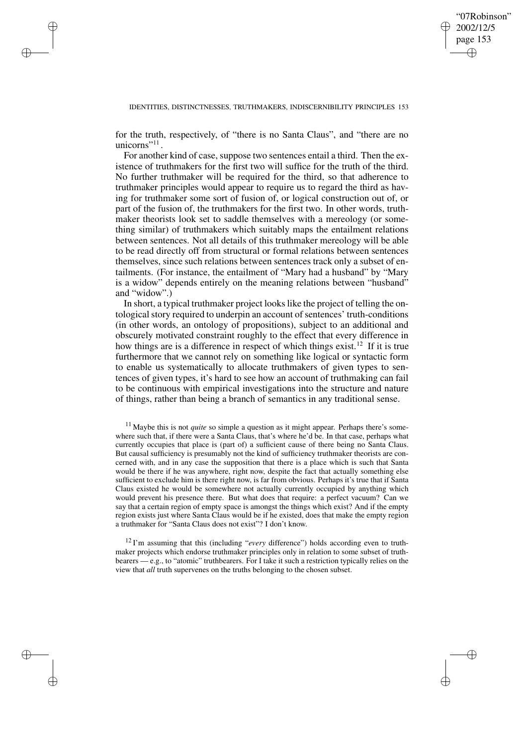✐

## IDENTITIES, DISTINCTNESSES, TRUTHMAKERS, INDISCERNIBILITY PRINCIPLES 153

for the truth, respectively, of "there is no Santa Claus", and "there are no unicorns" $^{11}$ .

✐

✐

✐

✐

For another kind of case, suppose two sentences entail a third. Then the existence of truthmakers for the first two will suffice for the truth of the third. No further truthmaker will be required for the third, so that adherence to truthmaker principles would appear to require us to regard the third as having for truthmaker some sort of fusion of, or logical construction out of, or part of the fusion of, the truthmakers for the first two. In other words, truthmaker theorists look set to saddle themselves with a mereology (or something similar) of truthmakers which suitably maps the entailment relations between sentences. Not all details of this truthmaker mereology will be able to be read directly off from structural or formal relations between sentences themselves, since such relations between sentences track only a subset of entailments. (For instance, the entailment of "Mary had a husband" by "Mary is a widow" depends entirely on the meaning relations between "husband" and "widow".)

In short, a typical truthmaker project looks like the project of telling the ontological story required to underpin an account of sentences' truth-conditions (in other words, an ontology of propositions), subject to an additional and obscurely motivated constraint roughly to the effect that every difference in how things are is a difference in respect of which things exist.<sup>12</sup> If it is true furthermore that we cannot rely on something like logical or syntactic form to enable us systematically to allocate truthmakers of given types to sentences of given types, it's hard to see how an account of truthmaking can fail to be continuous with empirical investigations into the structure and nature of things, rather than being a branch of semantics in any traditional sense.

<sup>11</sup> Maybe this is not *quite* so simple a question as it might appear. Perhaps there's somewhere such that, if there were a Santa Claus, that's where he'd be. In that case, perhaps what currently occupies that place is (part of) a sufficient cause of there being no Santa Claus. But causal sufficiency is presumably not the kind of sufficiency truthmaker theorists are concerned with, and in any case the supposition that there is a place which is such that Santa would be there if he was anywhere, right now, despite the fact that actually something else sufficient to exclude him is there right now, is far from obvious. Perhaps it's true that if Santa Claus existed he would be somewhere not actually currently occupied by anything which would prevent his presence there. But what does that require: a perfect vacuum? Can we say that a certain region of empty space is amongst the things which exist? And if the empty region exists just where Santa Claus would be if he existed, does that make the empty region a truthmaker for "Santa Claus does not exist"? I don't know.

<sup>12</sup> I'm assuming that this (including "*every* difference") holds according even to truthmaker projects which endorse truthmaker principles only in relation to some subset of truthbearers — e.g., to "atomic" truthbearers. For I take it such a restriction typically relies on the view that *all* truth supervenes on the truths belonging to the chosen subset.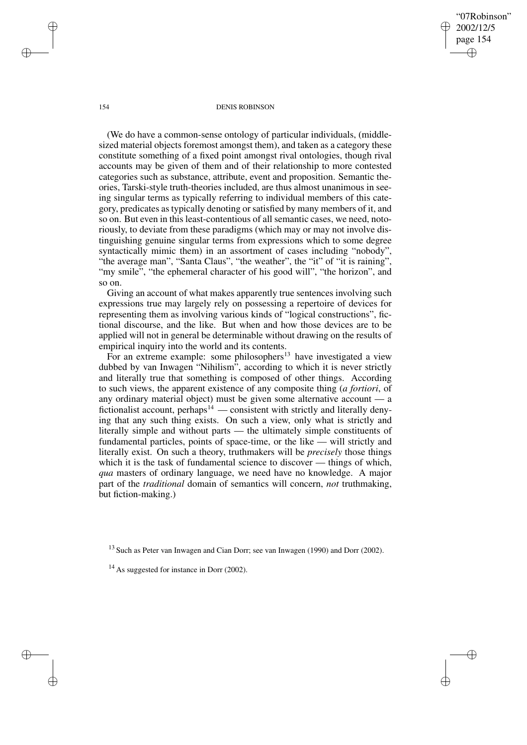✐

## 154 DENIS ROBINSON

(We do have a common-sense ontology of particular individuals, (middlesized material objects foremost amongst them), and taken as a category these constitute something of a fixed point amongst rival ontologies, though rival accounts may be given of them and of their relationship to more contested categories such as substance, attribute, event and proposition. Semantic theories, Tarski-style truth-theories included, are thus almost unanimous in seeing singular terms as typically referring to individual members of this category, predicates as typically denoting or satisfied by many members of it, and so on. But even in this least-contentious of all semantic cases, we need, notoriously, to deviate from these paradigms (which may or may not involve distinguishing genuine singular terms from expressions which to some degree syntactically mimic them) in an assortment of cases including "nobody", "the average man", "Santa Claus", "the weather", the "it" of "it is raining", "my smile", "the ephemeral character of his good will", "the horizon", and so on.

Giving an account of what makes apparently true sentences involving such expressions true may largely rely on possessing a repertoire of devices for representing them as involving various kinds of "logical constructions", fictional discourse, and the like. But when and how those devices are to be applied will not in general be determinable without drawing on the results of empirical inquiry into the world and its contents.

For an extreme example: some philosophers<sup>13</sup> have investigated a view dubbed by van Inwagen "Nihilism", according to which it is never strictly and literally true that something is composed of other things. According to such views, the apparent existence of any composite thing (*a fortiori*, of any ordinary material object) must be given some alternative account — a fictionalist account, perhaps $14$  — consistent with strictly and literally denying that any such thing exists. On such a view, only what is strictly and literally simple and without parts — the ultimately simple constituents of fundamental particles, points of space-time, or the like — will strictly and literally exist. On such a theory, truthmakers will be *precisely* those things which it is the task of fundamental science to discover — things of which, *qua* masters of ordinary language, we need have no knowledge. A major part of the *traditional* domain of semantics will concern, *not* truthmaking, but fiction-making.)

✐

✐

✐

<sup>&</sup>lt;sup>13</sup> Such as Peter van Inwagen and Cian Dorr; see van Inwagen (1990) and Dorr (2002).

<sup>&</sup>lt;sup>14</sup> As suggested for instance in Dorr (2002).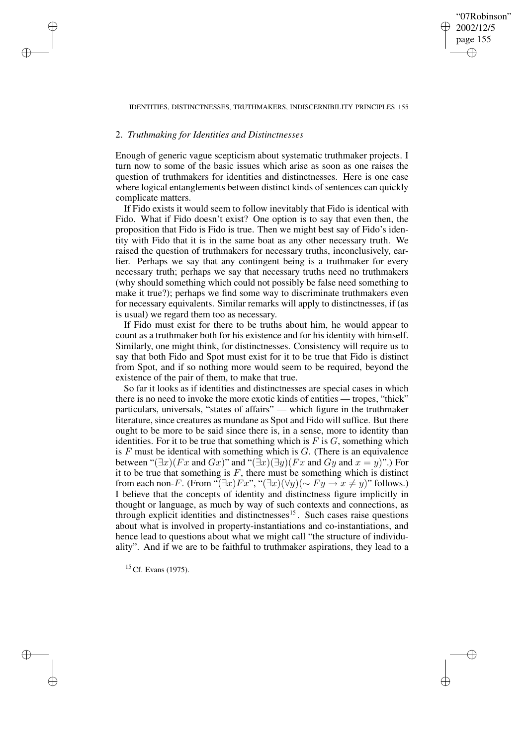# "07Robinson" 2002/12/5 page 155 ✐ ✐

✐

✐

## IDENTITIES, DISTINCTNESSES, TRUTHMAKERS, INDISCERNIBILITY PRINCIPLES 155

# 2. *Truthmaking for Identities and Distinctnesses*

✐

✐

✐

✐

Enough of generic vague scepticism about systematic truthmaker projects. I turn now to some of the basic issues which arise as soon as one raises the question of truthmakers for identities and distinctnesses. Here is one case where logical entanglements between distinct kinds of sentences can quickly complicate matters.

If Fido exists it would seem to follow inevitably that Fido is identical with Fido. What if Fido doesn't exist? One option is to say that even then, the proposition that Fido is Fido is true. Then we might best say of Fido's identity with Fido that it is in the same boat as any other necessary truth. We raised the question of truthmakers for necessary truths, inconclusively, earlier. Perhaps we say that any contingent being is a truthmaker for every necessary truth; perhaps we say that necessary truths need no truthmakers (why should something which could not possibly be false need something to make it true?); perhaps we find some way to discriminate truthmakers even for necessary equivalents. Similar remarks will apply to distinctnesses, if (as is usual) we regard them too as necessary.

If Fido must exist for there to be truths about him, he would appear to count as a truthmaker both for his existence and for his identity with himself. Similarly, one might think, for distinctnesses. Consistency will require us to say that both Fido and Spot must exist for it to be true that Fido is distinct from Spot, and if so nothing more would seem to be required, beyond the existence of the pair of them, to make that true.

So far it looks as if identities and distinctnesses are special cases in which there is no need to invoke the more exotic kinds of entities — tropes, "thick" particulars, universals, "states of affairs" — which figure in the truthmaker literature, since creatures as mundane as Spot and Fido will suffice. But there ought to be more to be said since there is, in a sense, more to identity than identities. For it to be true that something which is  $F$  is  $G$ , something which is  $F$  must be identical with something which is  $G$ . (There is an equivalence between " $(\exists x)(Fx \text{ and } Gx)$ " and " $(\exists x)(\exists y)(Fx \text{ and } Gy \text{ and } x = y)$ ".) For it to be true that something is  $F$ , there must be something which is distinct from each non-F. (From " $(\exists x)Fx$ ", " $(\exists x)(\forall y)(\sim Fy \rightarrow x \neq y)$ " follows.) I believe that the concepts of identity and distinctness figure implicitly in thought or language, as much by way of such contexts and connections, as through explicit identities and distinctnesses<sup>15</sup>. Such cases raise questions about what is involved in property-instantiations and co-instantiations, and hence lead to questions about what we might call "the structure of individuality". And if we are to be faithful to truthmaker aspirations, they lead to a

<sup>15</sup> Cf. Evans (1975).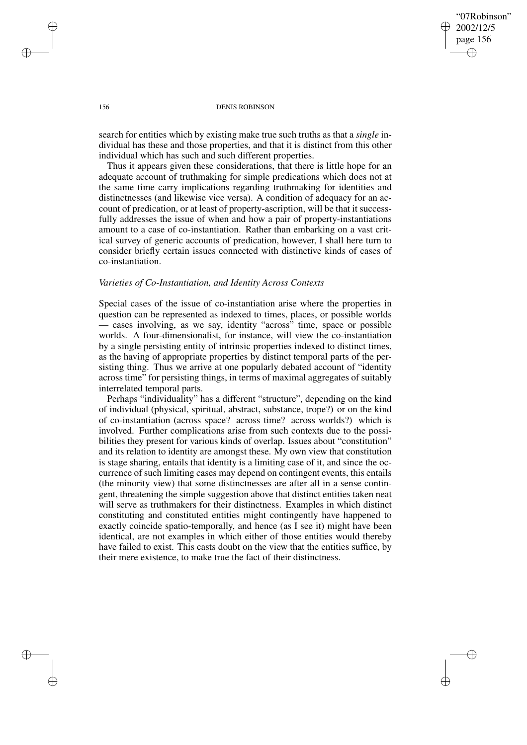"07Robinson" 2002/12/5 page 156 ✐ ✐

✐

✐

## 156 DENIS ROBINSON

search for entities which by existing make true such truths as that a *single* individual has these and those properties, and that it is distinct from this other individual which has such and such different properties.

Thus it appears given these considerations, that there is little hope for an adequate account of truthmaking for simple predications which does not at the same time carry implications regarding truthmaking for identities and distinctnesses (and likewise vice versa). A condition of adequacy for an account of predication, or at least of property-ascription, will be that it successfully addresses the issue of when and how a pair of property-instantiations amount to a case of co-instantiation. Rather than embarking on a vast critical survey of generic accounts of predication, however, I shall here turn to consider briefly certain issues connected with distinctive kinds of cases of co-instantiation.

# *Varieties of Co-Instantiation, and Identity Across Contexts*

Special cases of the issue of co-instantiation arise where the properties in question can be represented as indexed to times, places, or possible worlds — cases involving, as we say, identity "across" time, space or possible worlds. A four-dimensionalist, for instance, will view the co-instantiation by a single persisting entity of intrinsic properties indexed to distinct times, as the having of appropriate properties by distinct temporal parts of the persisting thing. Thus we arrive at one popularly debated account of "identity across time" for persisting things, in terms of maximal aggregates of suitably interrelated temporal parts.

Perhaps "individuality" has a different "structure", depending on the kind of individual (physical, spiritual, abstract, substance, trope?) or on the kind of co-instantiation (across space? across time? across worlds?) which is involved. Further complications arise from such contexts due to the possibilities they present for various kinds of overlap. Issues about "constitution" and its relation to identity are amongst these. My own view that constitution is stage sharing, entails that identity is a limiting case of it, and since the occurrence of such limiting cases may depend on contingent events, this entails (the minority view) that some distinctnesses are after all in a sense contingent, threatening the simple suggestion above that distinct entities taken neat will serve as truthmakers for their distinctness. Examples in which distinct constituting and constituted entities might contingently have happened to exactly coincide spatio-temporally, and hence (as I see it) might have been identical, are not examples in which either of those entities would thereby have failed to exist. This casts doubt on the view that the entities suffice, by their mere existence, to make true the fact of their distinctness.

✐

✐

✐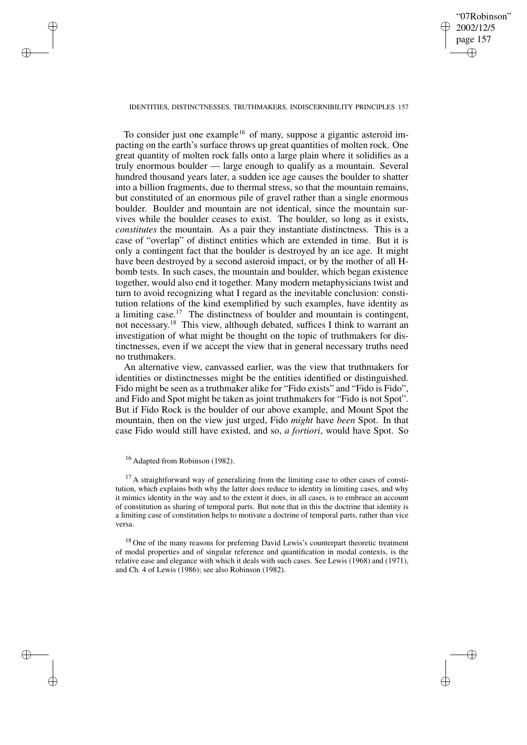# "07Robinson" 2002/12/5 page 157 ✐ ✐

✐

✐

## IDENTITIES, DISTINCTNESSES, TRUTHMAKERS, INDISCERNIBILITY PRINCIPLES 157

To consider just one example<sup>16</sup> of many, suppose a gigantic asteroid impacting on the earth's surface throws up great quantities of molten rock. One great quantity of molten rock falls onto a large plain where it solidifies as a truly enormous boulder — large enough to qualify as a mountain. Several hundred thousand years later, a sudden ice age causes the boulder to shatter into a billion fragments, due to thermal stress, so that the mountain remains, but constituted of an enormous pile of gravel rather than a single enormous boulder. Boulder and mountain are not identical, since the mountain survives while the boulder ceases to exist. The boulder, so long as it exists, *constitutes* the mountain. As a pair they instantiate distinctness. This is a case of "overlap" of distinct entities which are extended in time. But it is only a contingent fact that the boulder is destroyed by an ice age. It might have been destroyed by a second asteroid impact, or by the mother of all Hbomb tests. In such cases, the mountain and boulder, which began existence together, would also end it together. Many modern metaphysicians twist and turn to avoid recognizing what I regard as the inevitable conclusion: constitution relations of the kind exemplified by such examples, have identity as a limiting case.<sup>17</sup> The distinctness of boulder and mountain is contingent, not necessary. <sup>18</sup> This view, although debated, suffices I think to warrant an investigation of what might be thought on the topic of truthmakers for distinctnesses, even if we accept the view that in general necessary truths need no truthmakers.

An alternative view, canvassed earlier, was the view that truthmakers for identities or distinctnesses might be the entities identified or distinguished. Fido might be seen as a truthmaker alike for "Fido exists" and "Fido is Fido", and Fido and Spot might be taken as joint truthmakers for "Fido is not Spot". But if Fido Rock is the boulder of our above example, and Mount Spot the mountain, then on the view just urged, Fido *might* have *been* Spot. In that case Fido would still have existed, and so, *a fortiori*, would have Spot. So

✐

✐

✐

✐

<sup>18</sup> One of the many reasons for preferring David Lewis's counterpart theoretic treatment of modal properties and of singular reference and quantification in modal contexts, is the relative ease and elegance with which it deals with such cases. See Lewis (1968) and (1971), and Ch. 4 of Lewis (1986); see also Robinson (1982).

<sup>16</sup> Adapted from Robinson (1982).

<sup>&</sup>lt;sup>17</sup> A straightforward way of generalizing from the limiting case to other cases of constitution, which explains both why the latter does reduce to identity in limiting cases, and why it mimics identity in the way and to the extent it does, in all cases, is to embrace an account of constitution as sharing of temporal parts. But note that in this the doctrine that identity is a limiting case of constitution helps to motivate a doctrine of temporal parts, rather than vice versa.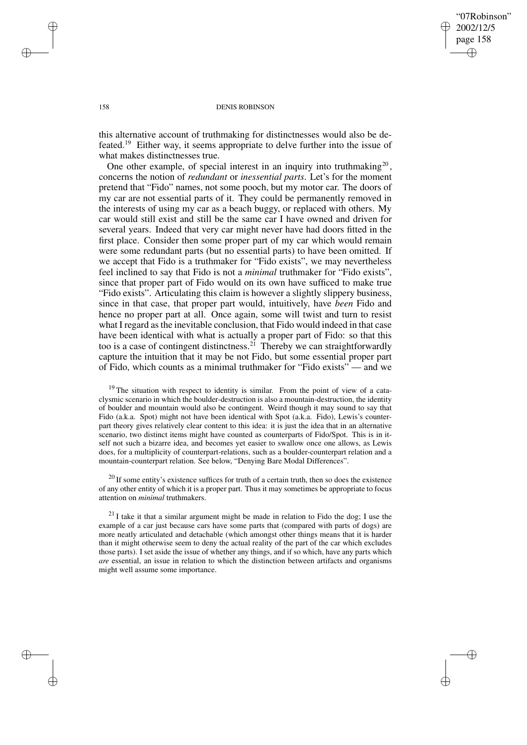✐

## 158 DENIS ROBINSON

this alternative account of truthmaking for distinctnesses would also be defeated.<sup>19</sup> Either way, it seems appropriate to delve further into the issue of what makes distinctnesses true.

One other example, of special interest in an inquiry into truthmaking<sup>20</sup>, concerns the notion of *redundant* or *inessential parts*. Let's for the moment pretend that "Fido" names, not some pooch, but my motor car. The doors of my car are not essential parts of it. They could be permanently removed in the interests of using my car as a beach buggy, or replaced with others. My car would still exist and still be the same car I have owned and driven for several years. Indeed that very car might never have had doors fitted in the first place. Consider then some proper part of my car which would remain were some redundant parts (but no essential parts) to have been omitted. If we accept that Fido is a truthmaker for "Fido exists", we may nevertheless feel inclined to say that Fido is not a *minimal* truthmaker for "Fido exists", since that proper part of Fido would on its own have sufficed to make true "Fido exists". Articulating this claim is however a slightly slippery business, since in that case, that proper part would, intuitively, have *been* Fido and hence no proper part at all. Once again, some will twist and turn to resist what I regard asthe inevitable conclusion, that Fido would indeed in that case have been identical with what is actually a proper part of Fido: so that this too is a case of contingent distinctness.<sup>21</sup> Thereby we can straightforwardly capture the intuition that it may be not Fido, but some essential proper part of Fido, which counts as a minimal truthmaker for "Fido exists" — and we

 $19$  The situation with respect to identity is similar. From the point of view of a cataclysmic scenario in which the boulder-destruction is also a mountain-destruction, the identity of boulder and mountain would also be contingent. Weird though it may sound to say that Fido (a.k.a. Spot) might not have been identical with Spot (a.k.a. Fido), Lewis's counterpart theory gives relatively clear content to this idea: it is just the idea that in an alternative scenario, two distinct items might have counted as counterparts of Fido/Spot. This is in itself not such a bizarre idea, and becomes yet easier to swallow once one allows, as Lewis does, for a multiplicity of counterpart-relations, such as a boulder-counterpart relation and a mountain-counterpart relation. See below, "Denying Bare Modal Differences".

 $20$  If some entity's existence suffices for truth of a certain truth, then so does the existence of any other entity of which it is a proper part. Thus it may sometimes be appropriate to focus attention on *minimal* truthmakers.

 $^{21}$  I take it that a similar argument might be made in relation to Fido the dog; I use the example of a car just because cars have some parts that (compared with parts of dogs) are more neatly articulated and detachable (which amongst other things means that it is harder than it might otherwise seem to deny the actual reality of the part of the car which excludes those parts). I set aside the issue of whether any things, and if so which, have any parts which *are* essential, an issue in relation to which the distinction between artifacts and organisms might well assume some importance.

✐

✐

✐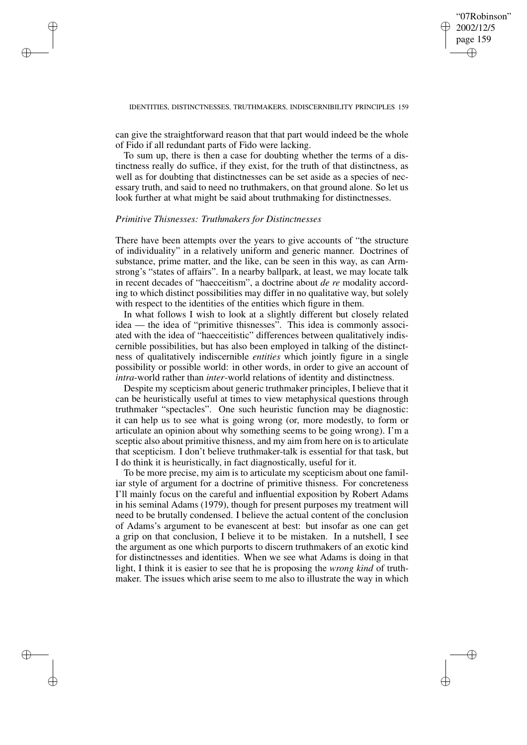✐

can give the straightforward reason that that part would indeed be the whole of Fido if all redundant parts of Fido were lacking.

To sum up, there is then a case for doubting whether the terms of a distinctness really do suffice, if they exist, for the truth of that distinctness, as well as for doubting that distinctnesses can be set aside as a species of necessary truth, and said to need no truthmakers, on that ground alone. So let us look further at what might be said about truthmaking for distinctnesses.

# *Primitive Thisnesses: Truthmakers for Distinctnesses*

✐

✐

✐

✐

There have been attempts over the years to give accounts of "the structure of individuality" in a relatively uniform and generic manner. Doctrines of substance, prime matter, and the like, can be seen in this way, as can Armstrong's "states of affairs". In a nearby ballpark, at least, we may locate talk in recent decades of "haecceitism", a doctrine about *de re* modality according to which distinct possibilities may differ in no qualitative way, but solely with respect to the identities of the entities which figure in them.

In what follows I wish to look at a slightly different but closely related idea — the idea of "primitive thisnesses". This idea is commonly associated with the idea of "haecceitistic" differences between qualitatively indiscernible possibilities, but has also been employed in talking of the distinctness of qualitatively indiscernible *entities* which jointly figure in a single possibility or possible world: in other words, in order to give an account of *intra*-world rather than *inter*-world relations of identity and distinctness.

Despite my scepticism about generic truthmaker principles, I believe that it can be heuristically useful at times to view metaphysical questions through truthmaker "spectacles". One such heuristic function may be diagnostic: it can help us to see what is going wrong (or, more modestly, to form or articulate an opinion about why something seems to be going wrong). I'm a sceptic also about primitive thisness, and my aim from here on is to articulate that scepticism. I don't believe truthmaker-talk is essential for that task, but I do think it is heuristically, in fact diagnostically, useful for it.

To be more precise, my aim is to articulate my scepticism about one familiar style of argument for a doctrine of primitive thisness. For concreteness I'll mainly focus on the careful and influential exposition by Robert Adams in his seminal Adams (1979), though for present purposes my treatment will need to be brutally condensed. I believe the actual content of the conclusion of Adams's argument to be evanescent at best: but insofar as one can get a grip on that conclusion, I believe it to be mistaken. In a nutshell, I see the argument as one which purports to discern truthmakers of an exotic kind for distinctnesses and identities. When we see what Adams is doing in that light, I think it is easier to see that he is proposing the *wrong kind* of truthmaker. The issues which arise seem to me also to illustrate the way in which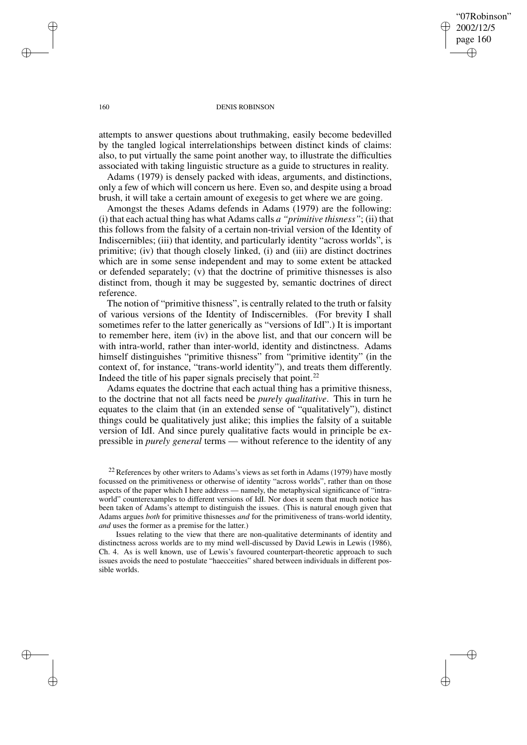"07Robinson" 2002/12/5 page 160 ✐ ✐

✐

✐

## 160 DENIS ROBINSON

attempts to answer questions about truthmaking, easily become bedevilled by the tangled logical interrelationships between distinct kinds of claims: also, to put virtually the same point another way, to illustrate the difficulties associated with taking linguistic structure as a guide to structures in reality.

Adams (1979) is densely packed with ideas, arguments, and distinctions, only a few of which will concern us here. Even so, and despite using a broad brush, it will take a certain amount of exegesis to get where we are going.

Amongst the theses Adams defends in Adams (1979) are the following: (i) that each actual thing has what Adams calls *a "primitive thisness"*; (ii) that this follows from the falsity of a certain non-trivial version of the Identity of Indiscernibles; (iii) that identity, and particularly identity "across worlds", is primitive; (iv) that though closely linked, (i) and (iii) are distinct doctrines which are in some sense independent and may to some extent be attacked or defended separately; (v) that the doctrine of primitive thisnesses is also distinct from, though it may be suggested by, semantic doctrines of direct reference.

The notion of "primitive thisness", is centrally related to the truth or falsity of various versions of the Identity of Indiscernibles. (For brevity I shall sometimes refer to the latter generically as "versions of IdI".) It is important to remember here, item (iv) in the above list, and that our concern will be with intra-world, rather than inter-world, identity and distinctness. Adams himself distinguishes "primitive thisness" from "primitive identity" (in the context of, for instance, "trans-world identity"), and treats them differently. Indeed the title of his paper signals precisely that point. $^{22}$ 

Adams equates the doctrine that each actual thing has a primitive thisness, to the doctrine that not all facts need be *purely qualitative*. This in turn he equates to the claim that (in an extended sense of "qualitatively"), distinct things could be qualitatively just alike; this implies the falsity of a suitable version of IdI. And since purely qualitative facts would in principle be expressible in *purely general* terms — without reference to the identity of any

Issues relating to the view that there are non-qualitative determinants of identity and distinctness across worlds are to my mind well-discussed by David Lewis in Lewis (1986), Ch. 4. As is well known, use of Lewis's favoured counterpart-theoretic approach to such issues avoids the need to postulate "haecceities" shared between individuals in different possible worlds.

✐

✐

✐

 $22$  References by other writers to Adams's views as set forth in Adams (1979) have mostly focussed on the primitiveness or otherwise of identity "across worlds", rather than on those aspects of the paper which I here address — namely, the metaphysical significance of "intraworld" counterexamples to different versions of IdI. Nor does it seem that much notice has been taken of Adams's attempt to distinguish the issues. (This is natural enough given that Adams argues *both* for primitive thisnesses *and* for the primitiveness of trans-world identity, *and* uses the former as a premise for the latter.)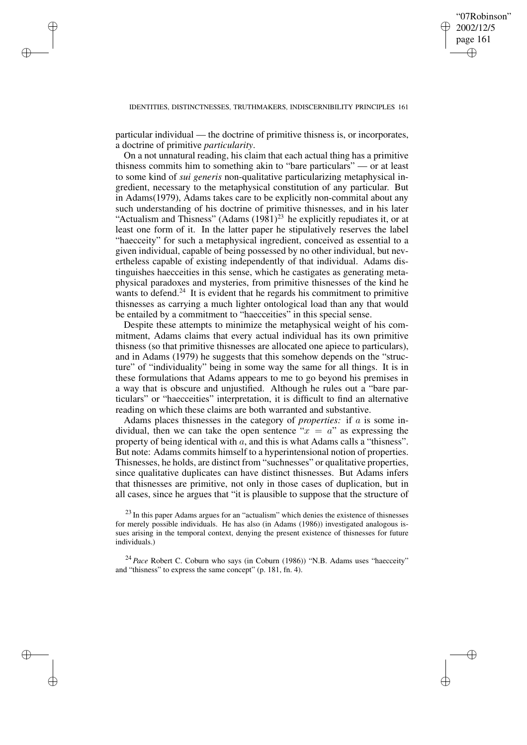✐

## IDENTITIES, DISTINCTNESSES, TRUTHMAKERS, INDISCERNIBILITY PRINCIPLES 161

particular individual — the doctrine of primitive thisness is, or incorporates, a doctrine of primitive *particularity*.

✐

✐

✐

✐

On a not unnatural reading, his claim that each actual thing has a primitive thisness commits him to something akin to "bare particulars" — or at least to some kind of *sui generis* non-qualitative particularizing metaphysical ingredient, necessary to the metaphysical constitution of any particular. But in Adams(1979), Adams takes care to be explicitly non-commital about any such understanding of his doctrine of primitive thisnesses, and in his later "Actualism and Thisness" (Adams  $(1981)^{23}$  he explicitly repudiates it, or at least one form of it. In the latter paper he stipulatively reserves the label "haecceity" for such a metaphysical ingredient, conceived as essential to a given individual, capable of being possessed by no other individual, but nevertheless capable of existing independently of that individual. Adams distinguishes haecceities in this sense, which he castigates as generating metaphysical paradoxes and mysteries, from primitive thisnesses of the kind he wants to defend.<sup>24</sup> It is evident that he regards his commitment to primitive thisnesses as carrying a much lighter ontological load than any that would be entailed by a commitment to "haecceities" in this special sense.

Despite these attempts to minimize the metaphysical weight of his commitment, Adams claims that every actual individual has its own primitive thisness (so that primitive thisnesses are allocated one apiece to particulars), and in Adams (1979) he suggests that this somehow depends on the "structure" of "individuality" being in some way the same for all things. It is in these formulations that Adams appears to me to go beyond his premises in a way that is obscure and unjustified. Although he rules out a "bare particulars" or "haecceities" interpretation, it is difficult to find an alternative reading on which these claims are both warranted and substantive.

Adams places thisnesses in the category of *properties:* if a is some individual, then we can take the open sentence " $x = a$ " as expressing the property of being identical with a, and this is what Adams calls a "thisness". But note: Adams commits himself to a hyperintensional notion of properties. Thisnesses, he holds, are distinct from "suchnesses" or qualitative properties, since qualitative duplicates can have distinct thisnesses. But Adams infers that thisnesses are primitive, not only in those cases of duplication, but in all cases, since he argues that "it is plausible to suppose that the structure of

<sup>23</sup> In this paper Adams argues for an "actualism" which denies the existence of thisnesses for merely possible individuals. He has also (in Adams (1986)) investigated analogous issues arising in the temporal context, denying the present existence of thisnesses for future individuals.)

<sup>24</sup> *Pace* Robert C. Coburn who says (in Coburn (1986)) "N.B. Adams uses "haecceity" and "thisness" to express the same concept" (p. 181, fn. 4).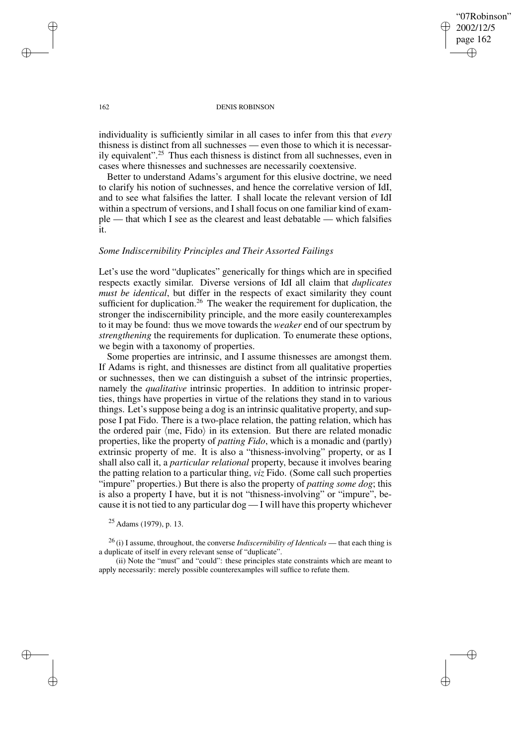✐

## 162 DENIS ROBINSON

individuality is sufficiently similar in all cases to infer from this that *every* thisness is distinct from all suchnesses — even those to which it is necessarily equivalent".<sup>25</sup> Thus each thisness is distinct from all suchnesses, even in cases where thisnesses and suchnesses are necessarily coextensive.

Better to understand Adams's argument for this elusive doctrine, we need to clarify his notion of suchnesses, and hence the correlative version of IdI, and to see what falsifies the latter. I shall locate the relevant version of IdI within a spectrum of versions, and I shall focus on one familiar kind of example — that which I see as the clearest and least debatable — which falsifies it.

# *Some Indiscernibility Principles and Their Assorted Failings*

Let's use the word "duplicates" generically for things which are in specified respects exactly similar. Diverse versions of IdI all claim that *duplicates must be identical*, but differ in the respects of exact similarity they count sufficient for duplication.<sup>26</sup> The weaker the requirement for duplication, the stronger the indiscernibility principle, and the more easily counterexamples to it may be found: thus we move towards the *weaker* end of our spectrum by *strengthening* the requirements for duplication. To enumerate these options, we begin with a taxonomy of properties.

Some properties are intrinsic, and I assume thisnesses are amongst them. If Adams is right, and thisnesses are distinct from all qualitative properties or suchnesses, then we can distinguish a subset of the intrinsic properties, namely the *qualitative* intrinsic properties. In addition to intrinsic properties, things have properties in virtue of the relations they stand in to various things. Let's suppose being a dog is an intrinsic qualitative property, and suppose I pat Fido. There is a two-place relation, the patting relation, which has the ordered pair  $\langle$ me, Fido $\rangle$  in its extension. But there are related monadic properties, like the property of *patting Fido*, which is a monadic and (partly) extrinsic property of me. It is also a "thisness-involving" property, or as I shall also call it, a *particular relational* property, because it involves bearing the patting relation to a particular thing, *viz* Fido. (Some call such properties "impure" properties.) But there is also the property of *patting some dog*; this is also a property I have, but it is not "thisness-involving" or "impure", because it is not tied to any particular dog — I will have this property whichever

<sup>26</sup> (i) I assume, throughout, the converse *Indiscernibility of Identicals* — that each thing is a duplicate of itself in every relevant sense of "duplicate".

(ii) Note the "must" and "could": these principles state constraints which are meant to apply necessarily: merely possible counterexamples will suffice to refute them.

✐

✐

✐

 $25$  Adams (1979), p. 13.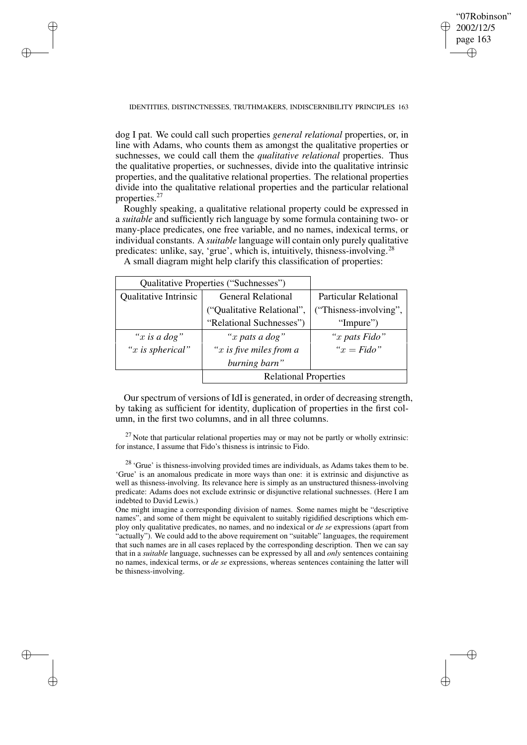✐

## IDENTITIES, DISTINCTNESSES, TRUTHMAKERS, INDISCERNIBILITY PRINCIPLES 163

✐

✐

✐

✐

dog I pat. We could call such properties *general relational* properties, or, in line with Adams, who counts them as amongst the qualitative properties or suchnesses, we could call them the *qualitative relational* properties. Thus the qualitative properties, or suchnesses, divide into the qualitative intrinsic properties, and the qualitative relational properties. The relational properties divide into the qualitative relational properties and the particular relational properties.<sup>27</sup>

Roughly speaking, a qualitative relational property could be expressed in a *suitable* and sufficiently rich language by some formula containing two- or many-place predicates, one free variable, and no names, indexical terms, or individual constants. A *suitable* language will contain only purely qualitative predicates: unlike, say, 'grue', which is, intuitively, thisness-involving.<sup>28</sup>

| Qualitative Properties ("Suchnesses") |                              |                        |
|---------------------------------------|------------------------------|------------------------|
| <b>Qualitative Intrinsic</b>          | <b>General Relational</b>    | Particular Relational  |
|                                       | ("Qualitative Relational",   | ("Thisness-involving", |
|                                       | "Relational Suchnesses")     | "Impure")              |
| "x is a dog"                          | "x pats a dog"               | "x pats Fido"          |
| " $x$ is spherical"                   | " $x$ is five miles from a   | " $x = \text{Fido}$ "  |
|                                       | burning barn"                |                        |
|                                       | <b>Relational Properties</b> |                        |

A small diagram might help clarify this classification of properties:

Ourspectrum of versions of IdI is generated, in order of decreasing strength, by taking as sufficient for identity, duplication of properties in the first column, in the first two columns, and in all three columns.

 $27$  Note that particular relational properties may or may not be partly or wholly extrinsic: for instance, I assume that Fido's thisness is intrinsic to Fido.

<sup>28</sup> 'Grue' is thisness-involving provided times are individuals, as Adams takes them to be. 'Grue' is an anomalous predicate in more ways than one: it is extrinsic and disjunctive as well as thisness-involving. Its relevance here is simply as an unstructured thisness-involving predicate: Adams does not exclude extrinsic or disjunctive relational suchnesses. (Here I am indebted to David Lewis.)

One might imagine a corresponding division of names. Some names might be "descriptive names", and some of them might be equivalent to suitably rigidified descriptions which employ only qualitative predicates, no names, and no indexical or *de se* expressions (apart from "actually"). We could add to the above requirement on "suitable" languages, the requirement that such names are in all cases replaced by the corresponding description. Then we can say that in a *suitable* language, suchnesses can be expressed by all and *only* sentences containing no names, indexical terms, or *de se* expressions, whereas sentences containing the latter will be thisness-involving.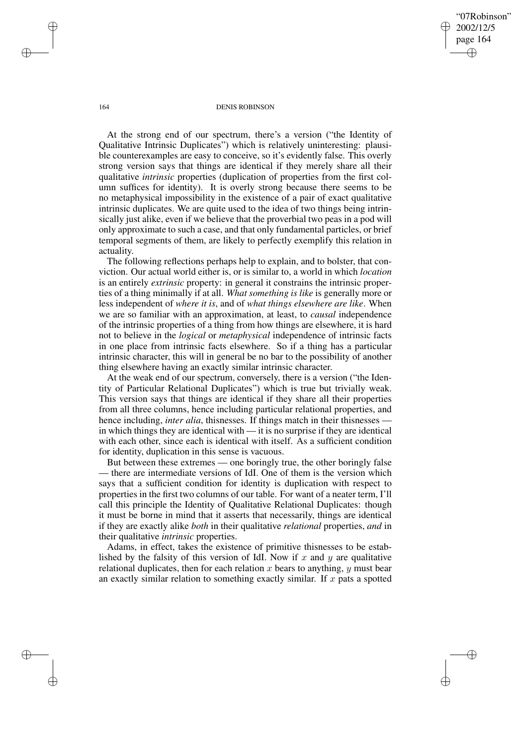"07Robinson" 2002/12/5 page 164 ✐ ✐

✐

✐

#### 164 DENIS ROBINSON

At the strong end of our spectrum, there's a version ("the Identity of Qualitative Intrinsic Duplicates") which is relatively uninteresting: plausible counterexamples are easy to conceive, so it's evidently false. This overly strong version says that things are identical if they merely share all their qualitative *intrinsic* properties (duplication of properties from the first column suffices for identity). It is overly strong because there seems to be no metaphysical impossibility in the existence of a pair of exact qualitative intrinsic duplicates. We are quite used to the idea of two things being intrinsically just alike, even if we believe that the proverbial two peas in a pod will only approximate to such a case, and that only fundamental particles, or brief temporal segments of them, are likely to perfectly exemplify this relation in actuality.

The following reflections perhaps help to explain, and to bolster, that conviction. Our actual world either is, or is similar to, a world in which *location* is an entirely *extrinsic* property: in general it constrains the intrinsic properties of a thing minimally if at all. *What something is like* is generally more or less independent of *where it is*, and of *what things elsewhere are like*. When we are so familiar with an approximation, at least, to *causal* independence of the intrinsic properties of a thing from how things are elsewhere, it is hard not to believe in the *logical* or *metaphysical* independence of intrinsic facts in one place from intrinsic facts elsewhere. So if a thing has a particular intrinsic character, this will in general be no bar to the possibility of another thing elsewhere having an exactly similar intrinsic character.

At the weak end of our spectrum, conversely, there is a version ("the Identity of Particular Relational Duplicates") which is true but trivially weak. This version says that things are identical if they share all their properties from all three columns, hence including particular relational properties, and hence including, *inter alia*, thisnesses. If things match in their thisnesses in which things they are identical with — it is no surprise if they are identical with each other, since each is identical with itself. As a sufficient condition for identity, duplication in this sense is vacuous.

But between these extremes — one boringly true, the other boringly false — there are intermediate versions of IdI. One of them is the version which says that a sufficient condition for identity is duplication with respect to properties in the first two columns of our table. For want of a neater term, I'll call this principle the Identity of Qualitative Relational Duplicates: though it must be borne in mind that it asserts that necessarily, things are identical if they are exactly alike *both* in their qualitative *relational* properties, *and* in their qualitative *intrinsic* properties.

Adams, in effect, takes the existence of primitive thisnesses to be established by the falsity of this version of IdI. Now if x and y are qualitative relational duplicates, then for each relation x bears to anything,  $\gamma$  must bear an exactly similar relation to something exactly similar. If  $x$  pats a spotted

✐

✐

✐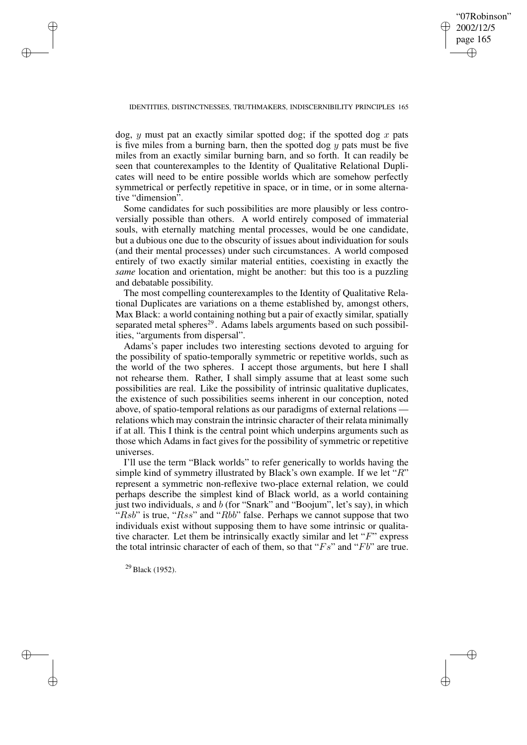✐

## IDENTITIES, DISTINCTNESSES, TRUTHMAKERS, INDISCERNIBILITY PRINCIPLES 165

dog, y must pat an exactly similar spotted dog; if the spotted dog x pats is five miles from a burning barn, then the spotted dog  $y$  pats must be five miles from an exactly similar burning barn, and so forth. It can readily be seen that counterexamples to the Identity of Qualitative Relational Duplicates will need to be entire possible worlds which are somehow perfectly symmetrical or perfectly repetitive in space, or in time, or in some alternative "dimension".

Some candidates for such possibilities are more plausibly or less controversially possible than others. A world entirely composed of immaterial souls, with eternally matching mental processes, would be one candidate, but a dubious one due to the obscurity of issues about individuation for souls (and their mental processes) under such circumstances. A world composed entirely of two exactly similar material entities, coexisting in exactly the *same* location and orientation, might be another: but this too is a puzzling and debatable possibility.

The most compelling counterexamples to the Identity of Qualitative Relational Duplicates are variations on a theme established by, amongst others, Max Black: a world containing nothing but a pair of exactly similar, spatially separated metal spheres<sup>29</sup>. Adams labels arguments based on such possibilities, "arguments from dispersal".

Adams's paper includes two interesting sections devoted to arguing for the possibility of spatio-temporally symmetric or repetitive worlds, such as the world of the two spheres. I accept those arguments, but here I shall not rehearse them. Rather, I shall simply assume that at least some such possibilities are real. Like the possibility of intrinsic qualitative duplicates, the existence of such possibilities seems inherent in our conception, noted above, of spatio-temporal relations as our paradigms of external relations relations which may constrain the intrinsic character of their relata minimally if at all. This I think is the central point which underpins arguments such as those which Adams in fact gives for the possibility of symmetric or repetitive universes.

I'll use the term "Black worlds" to refer generically to worlds having the simple kind of symmetry illustrated by Black's own example. If we let " $R$ " represent a symmetric non-reflexive two-place external relation, we could perhaps describe the simplest kind of Black world, as a world containing just two individuals, s and b (for "Snark" and "Boojum", let's say), in which "Rsb" is true, "Rss" and "Rbb" false. Perhaps we cannot suppose that two individuals exist without supposing them to have some intrinsic or qualitative character. Let them be intrinsically exactly similar and let "F" express the total intrinsic character of each of them, so that " $Fs$ " and " $Fb$ " are true.

<sup>29</sup> Black (1952).

✐

✐

✐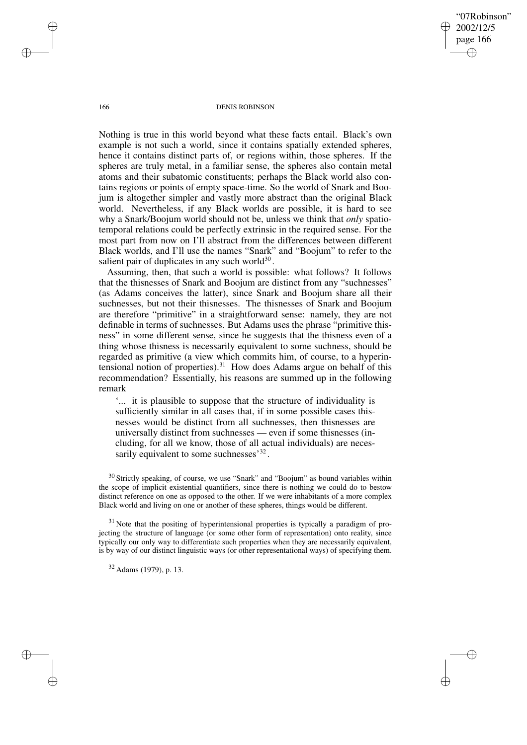"07Robinson" 2002/12/5 page 166 ✐ ✐

✐

✐

## 166 DENIS ROBINSON

Nothing is true in this world beyond what these facts entail. Black's own example is not such a world, since it contains spatially extended spheres, hence it contains distinct parts of, or regions within, those spheres. If the spheres are truly metal, in a familiar sense, the spheres also contain metal atoms and their subatomic constituents; perhaps the Black world also contains regions or points of empty space-time. So the world of Snark and Boojum is altogether simpler and vastly more abstract than the original Black world. Nevertheless, if any Black worlds are possible, it is hard to see why a Snark/Boojum world should not be, unless we think that *only* spatiotemporal relations could be perfectly extrinsic in the required sense. For the most part from now on I'll abstract from the differences between different Black worlds, and I'll use the names "Snark" and "Boojum" to refer to the salient pair of duplicates in any such world $30$ .

Assuming, then, that such a world is possible: what follows? It follows that the thisnesses of Snark and Boojum are distinct from any "suchnesses" (as Adams conceives the latter), since Snark and Boojum share all their suchnesses, but not their thisnesses. The thisnesses of Snark and Boojum are therefore "primitive" in a straightforward sense: namely, they are not definable in terms of suchnesses. But Adams uses the phrase "primitive thisness" in some different sense, since he suggests that the thisness even of a thing whose thisness is necessarily equivalent to some suchness, should be regarded as primitive (a view which commits him, of course, to a hyperintensional notion of properties).<sup>31</sup> How does Adams argue on behalf of this recommendation? Essentially, his reasons are summed up in the following remark

'... it is plausible to suppose that the structure of individuality is sufficiently similar in all cases that, if in some possible cases thisnesses would be distinct from all suchnesses, then thisnesses are universally distinct from suchnesses — even if some thisnesses (including, for all we know, those of all actual individuals) are necessarily equivalent to some suchnesses<sup>32</sup>.

<sup>30</sup> Strictly speaking, of course, we use "Snark" and "Boojum" as bound variables within the scope of implicit existential quantifiers, since there is nothing we could do to bestow distinct reference on one as opposed to the other. If we were inhabitants of a more complex Black world and living on one or another of these spheres, things would be different.

 $31$  Note that the positing of hyperintensional properties is typically a paradigm of projecting the structure of language (or some other form of representation) onto reality, since typically our only way to differentiate such properties when they are necessarily equivalent, is by way of our distinct linguistic ways (or other representational ways) of specifying them.

<sup>32</sup> Adams (1979), p. 13.

✐

✐

✐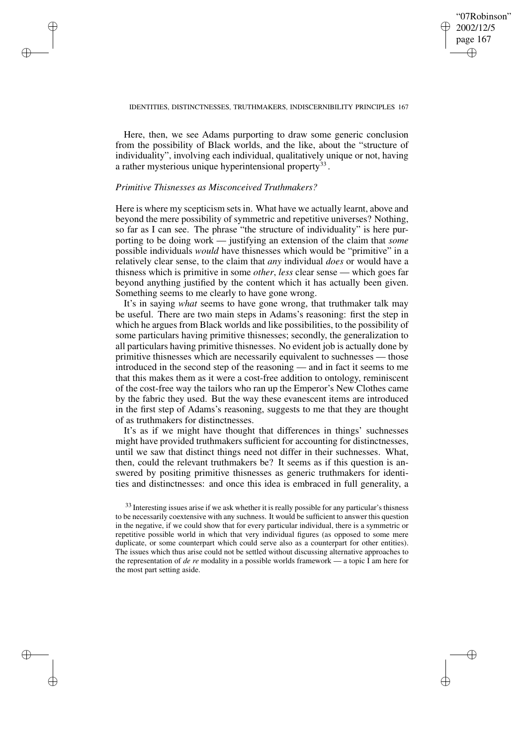✐

## IDENTITIES, DISTINCTNESSES, TRUTHMAKERS, INDISCERNIBILITY PRINCIPLES 167

Here, then, we see Adams purporting to draw some generic conclusion from the possibility of Black worlds, and the like, about the "structure of individuality", involving each individual, qualitatively unique or not, having a rather mysterious unique hyperintensional property<sup>33</sup>.

## *Primitive Thisnesses as Misconceived Truthmakers?*

✐

✐

✐

✐

Here is where my scepticism sets in. What have we actually learnt, above and beyond the mere possibility of symmetric and repetitive universes? Nothing, so far as I can see. The phrase "the structure of individuality" is here purporting to be doing work — justifying an extension of the claim that *some* possible individuals *would* have thisnesses which would be "primitive" in a relatively clear sense, to the claim that *any* individual *does* or would have a thisness which is primitive in some *other*, *less* clear sense — which goes far beyond anything justified by the content which it has actually been given. Something seems to me clearly to have gone wrong.

It's in saying *what* seems to have gone wrong, that truthmaker talk may be useful. There are two main steps in Adams's reasoning: first the step in which he argues from Black worlds and like possibilities, to the possibility of some particulars having primitive thisnesses; secondly, the generalization to all particulars having primitive thisnesses. No evident job is actually done by primitive thisnesses which are necessarily equivalent to suchnesses — those introduced in the second step of the reasoning — and in fact it seems to me that this makes them as it were a cost-free addition to ontology, reminiscent of the cost-free way the tailors who ran up the Emperor's New Clothes came by the fabric they used. But the way these evanescent items are introduced in the first step of Adams's reasoning, suggests to me that they are thought of as truthmakers for distinctnesses.

It's as if we might have thought that differences in things' suchnesses might have provided truthmakers sufficient for accounting for distinctnesses, until we saw that distinct things need not differ in their suchnesses. What, then, could the relevant truthmakers be? It seems as if this question is answered by positing primitive thisnesses as generic truthmakers for identities and distinctnesses: and once this idea is embraced in full generality, a

<sup>&</sup>lt;sup>33</sup> Interesting issues arise if we ask whether it is really possible for any particular's thisness to be necessarily coextensive with any suchness. It would be sufficient to answer this question in the negative, if we could show that for every particular individual, there is a symmetric or repetitive possible world in which that very individual figures (as opposed to some mere duplicate, or some counterpart which could serve also as a counterpart for other entities). The issues which thus arise could not be settled without discussing alternative approaches to the representation of *de re* modality in a possible worlds framework — a topic I am here for the most part setting aside.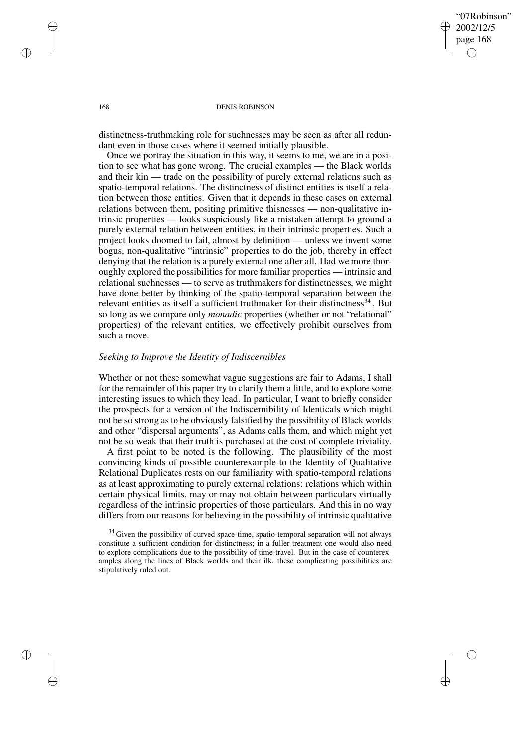✐

## 168 DENIS ROBINSON

distinctness-truthmaking role for suchnesses may be seen as after all redundant even in those cases where it seemed initially plausible.

Once we portray the situation in this way, it seems to me, we are in a position to see what has gone wrong. The crucial examples — the Black worlds and their kin — trade on the possibility of purely external relations such as spatio-temporal relations. The distinctness of distinct entities is itself a relation between those entities. Given that it depends in these cases on external relations between them, positing primitive thisnesses — non-qualitative intrinsic properties — looks suspiciously like a mistaken attempt to ground a purely external relation between entities, in their intrinsic properties. Such a project looks doomed to fail, almost by definition — unless we invent some bogus, non-qualitative "intrinsic" properties to do the job, thereby in effect denying that the relation is a purely external one after all. Had we more thoroughly explored the possibilities for more familiar properties — intrinsic and relational suchnesses — to serve as truthmakers for distinctnesses, we might have done better by thinking of the spatio-temporal separation between the relevant entities as itself a sufficient truthmaker for their distinctness<sup>34</sup>. But so long as we compare only *monadic* properties (whether or not "relational" properties) of the relevant entities, we effectively prohibit ourselves from such a move.

# *Seeking to Improve the Identity of Indiscernibles*

Whether or not these somewhat vague suggestions are fair to Adams, I shall for the remainder of this paper try to clarify them a little, and to explore some interesting issues to which they lead. In particular, I want to briefly consider the prospects for a version of the Indiscernibility of Identicals which might not be so strong as to be obviously falsified by the possibility of Black worlds and other "dispersal arguments", as Adams calls them, and which might yet not be so weak that their truth is purchased at the cost of complete triviality.

A first point to be noted is the following. The plausibility of the most convincing kinds of possible counterexample to the Identity of Qualitative Relational Duplicates rests on our familiarity with spatio-temporal relations as at least approximating to purely external relations: relations which within certain physical limits, may or may not obtain between particulars virtually regardless of the intrinsic properties of those particulars. And this in no way differs from our reasons for believing in the possibility of intrinsic qualitative

✐

✐

✐

 $34$  Given the possibility of curved space-time, spatio-temporal separation will not always constitute a sufficient condition for distinctness; in a fuller treatment one would also need to explore complications due to the possibility of time-travel. But in the case of counterexamples along the lines of Black worlds and their ilk, these complicating possibilities are stipulatively ruled out.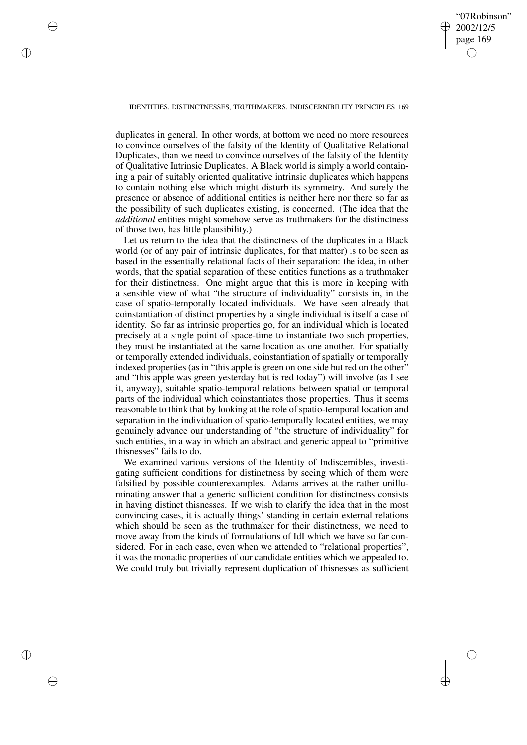# "07Robinson" 2002/12/5 page 169 ✐ ✐

✐

✐

## IDENTITIES, DISTINCTNESSES, TRUTHMAKERS, INDISCERNIBILITY PRINCIPLES 169

✐

✐

✐

✐

duplicates in general. In other words, at bottom we need no more resources to convince ourselves of the falsity of the Identity of Qualitative Relational Duplicates, than we need to convince ourselves of the falsity of the Identity of Qualitative Intrinsic Duplicates. A Black world is simply a world containing a pair of suitably oriented qualitative intrinsic duplicates which happens to contain nothing else which might disturb its symmetry. And surely the presence or absence of additional entities is neither here nor there so far as the possibility of such duplicates existing, is concerned. (The idea that the *additional* entities might somehow serve as truthmakers for the distinctness of those two, has little plausibility.)

Let us return to the idea that the distinctness of the duplicates in a Black world (or of any pair of intrinsic duplicates, for that matter) is to be seen as based in the essentially relational facts of their separation: the idea, in other words, that the spatial separation of these entities functions as a truthmaker for their distinctness. One might argue that this is more in keeping with a sensible view of what "the structure of individuality" consists in, in the case of spatio-temporally located individuals. We have seen already that coinstantiation of distinct properties by a single individual is itself a case of identity. So far as intrinsic properties go, for an individual which is located precisely at a single point of space-time to instantiate two such properties, they must be instantiated at the same location as one another. For spatially or temporally extended individuals, coinstantiation of spatially or temporally indexed properties (as in "this apple is green on one side but red on the other" and "this apple was green yesterday but is red today") will involve (as I see it, anyway), suitable spatio-temporal relations between spatial or temporal parts of the individual which coinstantiates those properties. Thus it seems reasonable to think that by looking at the role of spatio-temporal location and separation in the individuation of spatio-temporally located entities, we may genuinely advance our understanding of "the structure of individuality" for such entities, in a way in which an abstract and generic appeal to "primitive thisnesses" fails to do.

We examined various versions of the Identity of Indiscernibles, investigating sufficient conditions for distinctness by seeing which of them were falsified by possible counterexamples. Adams arrives at the rather unilluminating answer that a generic sufficient condition for distinctness consists in having distinct thisnesses. If we wish to clarify the idea that in the most convincing cases, it is actually things' standing in certain external relations which should be seen as the truthmaker for their distinctness, we need to move away from the kinds of formulations of IdI which we have so far considered. For in each case, even when we attended to "relational properties", it was the monadic properties of our candidate entities which we appealed to. We could truly but trivially represent duplication of thisnesses as sufficient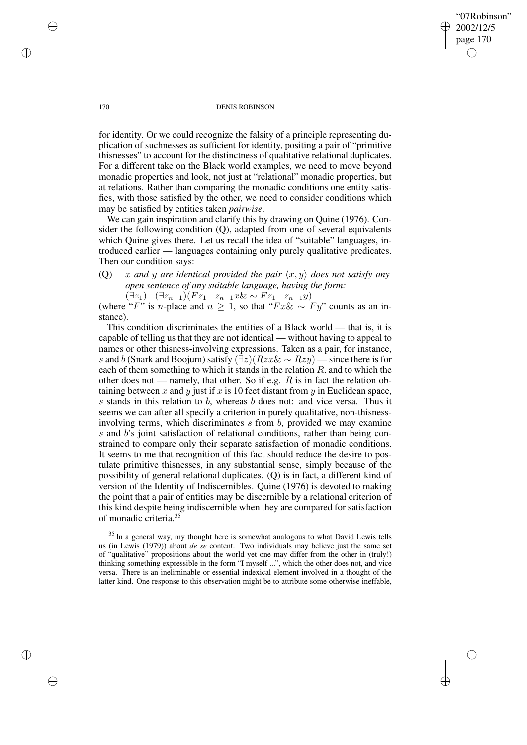170 DENIS ROBINSON

"07Robinson" 2002/12/5 page 170

✐

✐

✐

✐

for identity. Or we could recognize the falsity of a principle representing duplication of suchnesses as sufficient for identity, positing a pair of "primitive thisnesses" to account for the distinctness of qualitative relational duplicates. For a different take on the Black world examples, we need to move beyond monadic properties and look, not just at "relational" monadic properties, but at relations. Rather than comparing the monadic conditions one entity satisfies, with those satisfied by the other, we need to consider conditions which may be satisfied by entities taken *pairwise*.

We can gain inspiration and clarify this by drawing on Quine (1976). Consider the following condition (Q), adapted from one of several equivalents which Quine gives there. Let us recall the idea of "suitable" languages, introduced earlier — languages containing only purely qualitative predicates. Then our condition says:

(Q) x and y are *identical provided the pair*  $\langle x, y \rangle$  *does not satisfy any open sentence of any suitable language, having the form:*

 $(\exists z_1)...(\exists z_{n-1})(Fz_1...z_{n-1}x\⋉ Fz_1...z_{n-1}y)$ 

(where "F" is n-place and  $n \geq 1$ , so that "Fx& ∼ Fy" counts as an instance).

This condition discriminates the entities of a Black world — that is, it is capable of telling us that they are not identical — without having to appeal to names or other thisness-involving expressions. Taken as a pair, for instance, s and b (Snark and Boojum) satisfy  $(\exists z)(Rzx\& \sim Rzy)$  — since there is for each of them something to which it stands in the relation  $R$ , and to which the other does not — namely, that other. So if e.g.  $R$  is in fact the relation obtaining between x and y just if x is 10 feet distant from y in Euclidean space, s stands in this relation to b, whereas b does not: and vice versa. Thus it seems we can after all specify a criterion in purely qualitative, non-thisnessinvolving terms, which discriminates  $s$  from  $b$ , provided we may examine s and b's joint satisfaction of relational conditions, rather than being constrained to compare only their separate satisfaction of monadic conditions. It seems to me that recognition of this fact should reduce the desire to postulate primitive thisnesses, in any substantial sense, simply because of the possibility of general relational duplicates. (Q) is in fact, a different kind of version of the Identity of Indiscernibles. Quine (1976) is devoted to making the point that a pair of entities may be discernible by a relational criterion of this kind despite being indiscernible when they are compared for satisfaction of monadic criteria.<sup>35</sup>

<sup>35</sup> In a general way, my thought here is somewhat analogous to what David Lewis tells us (in Lewis (1979)) about *de se* content. Two individuals may believe just the same set of "qualitative" propositions about the world yet one may differ from the other in (truly!) thinking something expressible in the form "I myself ...", which the other does not, and vice versa. There is an ineliminable or essential indexical element involved in a thought of the latter kind. One response to this observation might be to attribute some otherwise ineffable,

✐

✐

✐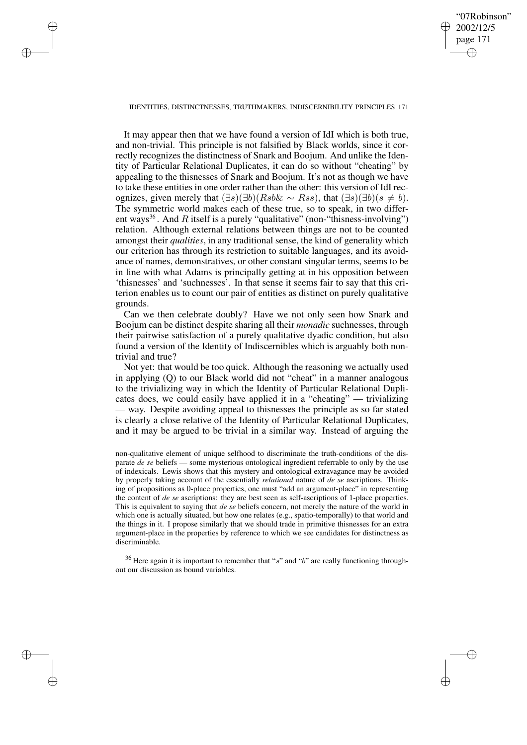✐

## IDENTITIES, DISTINCTNESSES, TRUTHMAKERS, INDISCERNIBILITY PRINCIPLES 171

✐

✐

✐

✐

It may appear then that we have found a version of IdI which is both true, and non-trivial. This principle is not falsified by Black worlds, since it correctly recognizes the distinctness of Snark and Boojum. And unlike the Identity of Particular Relational Duplicates, it can do so without "cheating" by appealing to the thisnesses of Snark and Boojum. It's not as though we have to take these entities in one order rather than the other: this version of IdI recognizes, given merely that  $(\exists s)(\exists b)(Rsb<\neg Rss)$ , that  $(\exists s)(\exists b)(s \neq b)$ . The symmetric world makes each of these true, so to speak, in two different ways<sup>36</sup>. And R itself is a purely "qualitative" (non-"thisness-involving") relation. Although external relations between things are not to be counted amongst their *qualities*, in any traditional sense, the kind of generality which our criterion has through its restriction to suitable languages, and its avoidance of names, demonstratives, or other constant singular terms, seems to be in line with what Adams is principally getting at in his opposition between 'thisnesses' and 'suchnesses'. In that sense it seems fair to say that this criterion enables us to count our pair of entities as distinct on purely qualitative grounds.

Can we then celebrate doubly? Have we not only seen how Snark and Boojum can be distinct despite sharing all their *monadic* suchnesses, through their pairwise satisfaction of a purely qualitative dyadic condition, but also found a version of the Identity of Indiscernibles which is arguably both nontrivial and true?

Not yet: that would be too quick. Although the reasoning we actually used in applying (Q) to our Black world did not "cheat" in a manner analogous to the trivializing way in which the Identity of Particular Relational Duplicates does, we could easily have applied it in a "cheating" — trivializing — way. Despite avoiding appeal to thisnesses the principle as so far stated is clearly a close relative of the Identity of Particular Relational Duplicates, and it may be argued to be trivial in a similar way. Instead of arguing the

non-qualitative element of unique selfhood to discriminate the truth-conditions of the disparate *de se* beliefs — some mysterious ontological ingredient referrable to only by the use of indexicals. Lewis shows that this mystery and ontological extravagance may be avoided by properly taking account of the essentially *relational* nature of *de se* ascriptions. Thinking of propositions as 0-place properties, one must "add an argument-place" in representing the content of *de se* ascriptions: they are best seen as self-ascriptions of 1-place properties. This is equivalent to saying that *de se* beliefs concern, not merely the nature of the world in which one is actually situated, but how one relates (e.g., spatio-temporally) to that world and the things in it. I propose similarly that we should trade in primitive thisnesses for an extra argument-place in the properties by reference to which we see candidates for distinctness as discriminable.

 $36$  Here again it is important to remember that "s" and "b" are really functioning throughout our discussion as bound variables.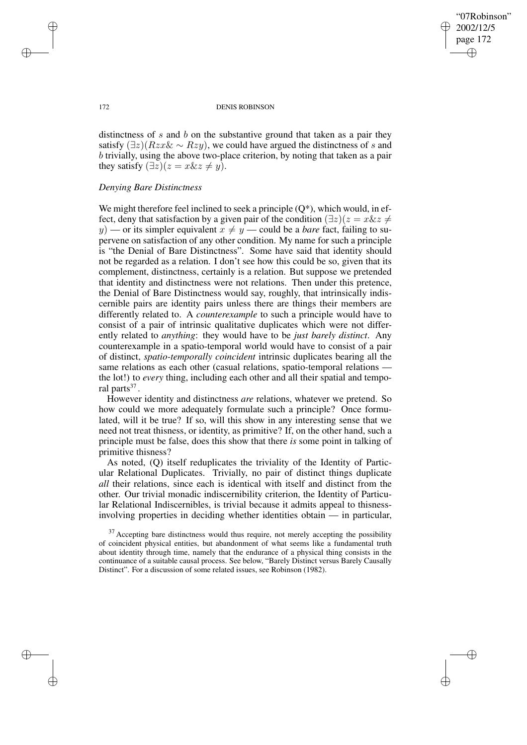✐

## 172 DENIS ROBINSON

distinctness of  $s$  and  $b$  on the substantive ground that taken as a pair they satisfy  $(\exists z)(Rzx\& \sim Rzy)$ , we could have argued the distinctness of s and b trivially, using the above two-place criterion, by noting that taken as a pair they satisfy  $(\exists z)(z = x\&z \neq y)$ .

# *Denying Bare Distinctness*

We might therefore feel inclined to seek a principle  $(O^*)$ , which would, in effect, deny that satisfaction by a given pair of the condition  $(\exists z)(z = x \& z \neq 0)$ y) — or its simpler equivalent  $x \neq y$  — could be a *bare* fact, failing to supervene on satisfaction of any other condition. My name for such a principle is "the Denial of Bare Distinctness". Some have said that identity should not be regarded as a relation. I don't see how this could be so, given that its complement, distinctness, certainly is a relation. But suppose we pretended that identity and distinctness were not relations. Then under this pretence, the Denial of Bare Distinctness would say, roughly, that intrinsically indiscernible pairs are identity pairs unless there are things their members are differently related to. A *counterexample* to such a principle would have to consist of a pair of intrinsic qualitative duplicates which were not differently related to *anything*: they would have to be *just barely distinct*. Any counterexample in a spatio-temporal world would have to consist of a pair of distinct, *spatio-temporally coincident* intrinsic duplicates bearing all the same relations as each other (casual relations, spatio-temporal relations – the lot!) to *every* thing, including each other and all their spatial and temporal parts<sup>37</sup>.

However identity and distinctness *are* relations, whatever we pretend. So how could we more adequately formulate such a principle? Once formulated, will it be true? If so, will this show in any interesting sense that we need not treat thisness, or identity, as primitive? If, on the other hand, such a principle must be false, does this show that there *is* some point in talking of primitive thisness?

As noted, (Q) itself reduplicates the triviality of the Identity of Particular Relational Duplicates. Trivially, no pair of distinct things duplicate *all* their relations, since each is identical with itself and distinct from the other. Our trivial monadic indiscernibility criterion, the Identity of Particular Relational Indiscernibles, is trivial because it admits appeal to thisnessinvolving properties in deciding whether identities obtain — in particular,

✐

✐

✐

 $37$  Accepting bare distinctness would thus require, not merely accepting the possibility of coincident physical entities, but abandonment of what seems like a fundamental truth about identity through time, namely that the endurance of a physical thing consists in the continuance of a suitable causal process. See below, "Barely Distinct versus Barely Causally Distinct". For a discussion of some related issues, see Robinson (1982).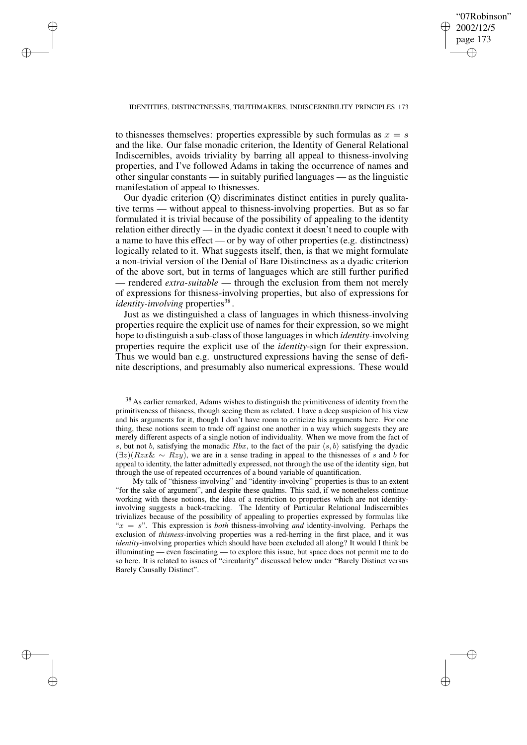✐

## IDENTITIES, DISTINCTNESSES, TRUTHMAKERS, INDISCERNIBILITY PRINCIPLES 173

✐

✐

✐

✐

to thisnesses themselves: properties expressible by such formulas as  $x = s$ and the like. Our false monadic criterion, the Identity of General Relational Indiscernibles, avoids triviality by barring all appeal to thisness-involving properties, and I've followed Adams in taking the occurrence of names and other singular constants — in suitably purified languages — as the linguistic manifestation of appeal to thisnesses.

Our dyadic criterion (Q) discriminates distinct entities in purely qualitative terms — without appeal to thisness-involving properties. But as so far formulated it is trivial because of the possibility of appealing to the identity relation either directly — in the dyadic context it doesn't need to couple with a name to have this effect — or by way of other properties (e.g. distinctness) logically related to it. What suggests itself, then, is that we might formulate a non-trivial version of the Denial of Bare Distinctness as a dyadic criterion of the above sort, but in terms of languages which are still further purified — rendered *extra-suitable* — through the exclusion from them not merely of expressions for thisness-involving properties, but also of expressions for *identity-involving* properties<sup>38</sup>.

Just as we distinguished a class of languages in which thisness-involving properties require the explicit use of names for their expression, so we might hope to distinguish a sub-class of those languages in which *identity*-involving properties require the explicit use of the *identity*-sign for their expression. Thus we would ban e.g. unstructured expressions having the sense of definite descriptions, and presumably also numerical expressions. These would

My talk of "thisness-involving" and "identity-involving" properties is thus to an extent "for the sake of argument", and despite these qualms. This said, if we nonetheless continue working with these notions, the idea of a restriction to properties which are not identityinvolving suggests a back-tracking. The Identity of Particular Relational Indiscernibles trivializes because of the possibility of appealing to properties expressed by formulas like " $x = s$ ". This expression is *both* thisness-involving *and* identity-involving. Perhaps the exclusion of *thisness*-involving properties was a red-herring in the first place, and it was *identity*-involving properties which should have been excluded all along? It would I think be illuminating — even fascinating — to explore this issue, but space does not permit me to do so here. It is related to issues of "circularity" discussed below under "Barely Distinct versus Barely Causally Distinct".

<sup>&</sup>lt;sup>38</sup> As earlier remarked, Adams wishes to distinguish the primitiveness of identity from the primitiveness of thisness, though seeing them as related. I have a deep suspicion of his view and his arguments for it, though I don't have room to criticize his arguments here. For one thing, these notions seem to trade off against one another in a way which suggests they are merely different aspects of a single notion of individuality. When we move from the fact of s, but not b, satisfying the monadic  $Rbx$ , to the fact of the pair  $\langle s, b \rangle$  satisfying the dyadic  $(\exists z)(Rzx\&\sim Rzy)$ , we are in a sense trading in appeal to the thisnesses of s and b for appeal to identity, the latter admittedly expressed, not through the use of the identity sign, but through the use of repeated occurrences of a bound variable of quantification.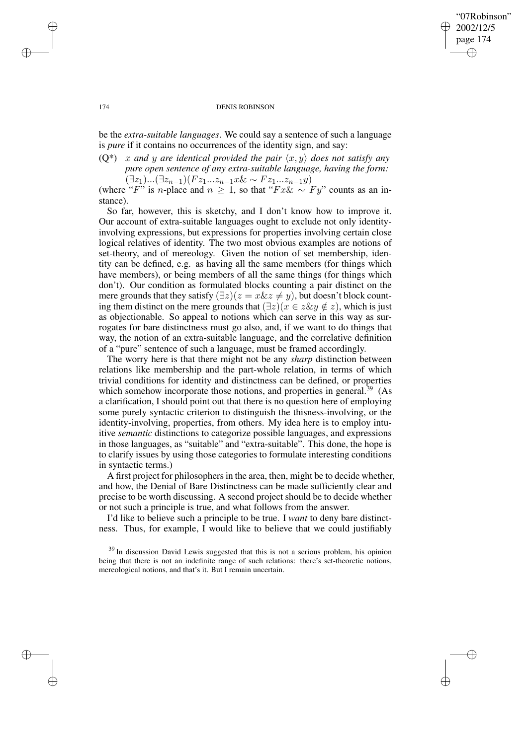# "07Robinson" 2002/12/5 page 174 ✐ ✐

✐

✐

## 174 DENIS ROBINSON

be the *extra-suitable languages*. We could say a sentence of such a language is *pure* if it contains no occurrences of the identity sign, and say:

 $(Q^*)$  x and y are *identical provided the pair*  $\langle x, y \rangle$  *does not satisfy any pure open sentence of any extra-suitable language, having the form:*  $(\exists z_1)...(\exists z_{n-1})(Fz_1...z_{n-1}x\<\neg Fz_1...z_{n-1}y)$ 

(where "F" is n-place and  $n \geq 1$ , so that "Fx& ∼ Fy" counts as an instance).

So far, however, this is sketchy, and I don't know how to improve it. Our account of extra-suitable languages ought to exclude not only identityinvolving expressions, but expressions for properties involving certain close logical relatives of identity. The two most obvious examples are notions of set-theory, and of mereology. Given the notion of set membership, identity can be defined, e.g. as having all the same members (for things which have members), or being members of all the same things (for things which don't). Our condition as formulated blocks counting a pair distinct on the mere grounds that they satisfy  $(\exists z)(z = x \& z \neq y)$ , but doesn't block counting them distinct on the mere grounds that  $(\exists z)(x \in z \& y \notin z)$ , which is just as objectionable. So appeal to notions which can serve in this way as surrogates for bare distinctness must go also, and, if we want to do things that way, the notion of an extra-suitable language, and the correlative definition of a "pure" sentence of such a language, must be framed accordingly.

The worry here is that there might not be any *sharp* distinction between relations like membership and the part-whole relation, in terms of which trivial conditions for identity and distinctness can be defined, or properties which somehow incorporate those notions, and properties in general.<sup>39</sup> (As a clarification, I should point out that there is no question here of employing some purely syntactic criterion to distinguish the thisness-involving, or the identity-involving, properties, from others. My idea here is to employ intuitive *semantic* distinctions to categorize possible languages, and expressions in those languages, as "suitable" and "extra-suitable". This done, the hope is to clarify issues by using those categories to formulate interesting conditions in syntactic terms.)

A first project for philosophersin the area, then, might be to decide whether, and how, the Denial of Bare Distinctness can be made sufficiently clear and precise to be worth discussing. A second project should be to decide whether or not such a principle is true, and what follows from the answer.

I'd like to believe such a principle to be true. I *want* to deny bare distinctness. Thus, for example, I would like to believe that we could justifiably

✐

✐

✐

<sup>&</sup>lt;sup>39</sup> In discussion David Lewis suggested that this is not a serious problem, his opinion being that there is not an indefinite range of such relations: there's set-theoretic notions, mereological notions, and that's it. But I remain uncertain.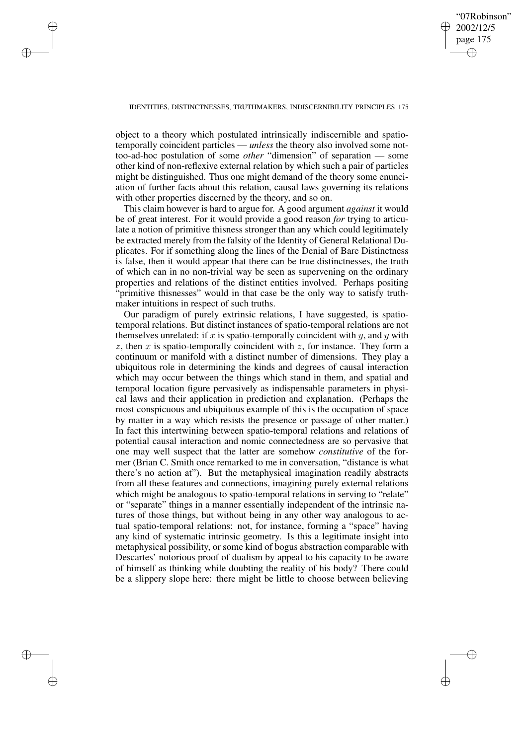✐

## IDENTITIES, DISTINCTNESSES, TRUTHMAKERS, INDISCERNIBILITY PRINCIPLES 175

✐

✐

✐

✐

object to a theory which postulated intrinsically indiscernible and spatiotemporally coincident particles — *unless* the theory also involved some nottoo-ad-hoc postulation of some *other* "dimension" of separation — some other kind of non-reflexive external relation by which such a pair of particles might be distinguished. Thus one might demand of the theory some enunciation of further facts about this relation, causal laws governing its relations with other properties discerned by the theory, and so on.

This claim however is hard to argue for. A good argument *against* it would be of great interest. For it would provide a good reason *for* trying to articulate a notion of primitive thisness stronger than any which could legitimately be extracted merely from the falsity of the Identity of General Relational Duplicates. For if something along the lines of the Denial of Bare Distinctness is false, then it would appear that there can be true distinctnesses, the truth of which can in no non-trivial way be seen as supervening on the ordinary properties and relations of the distinct entities involved. Perhaps positing "primitive thisnesses" would in that case be the only way to satisfy truthmaker intuitions in respect of such truths.

Our paradigm of purely extrinsic relations, I have suggested, is spatiotemporal relations. But distinct instances of spatio-temporal relations are not themselves unrelated: if x is spatio-temporally coincident with y, and y with  $z$ , then  $x$  is spatio-temporally coincident with  $z$ , for instance. They form a continuum or manifold with a distinct number of dimensions. They play a ubiquitous role in determining the kinds and degrees of causal interaction which may occur between the things which stand in them, and spatial and temporal location figure pervasively as indispensable parameters in physical laws and their application in prediction and explanation. (Perhaps the most conspicuous and ubiquitous example of this is the occupation of space by matter in a way which resists the presence or passage of other matter.) In fact this intertwining between spatio-temporal relations and relations of potential causal interaction and nomic connectedness are so pervasive that one may well suspect that the latter are somehow *constitutive* of the former (Brian C. Smith once remarked to me in conversation, "distance is what there's no action at"). But the metaphysical imagination readily abstracts from all these features and connections, imagining purely external relations which might be analogous to spatio-temporal relations in serving to "relate" or "separate" things in a manner essentially independent of the intrinsic natures of those things, but without being in any other way analogous to actual spatio-temporal relations: not, for instance, forming a "space" having any kind of systematic intrinsic geometry. Is this a legitimate insight into metaphysical possibility, or some kind of bogus abstraction comparable with Descartes' notorious proof of dualism by appeal to his capacity to be aware of himself as thinking while doubting the reality of his body? There could be a slippery slope here: there might be little to choose between believing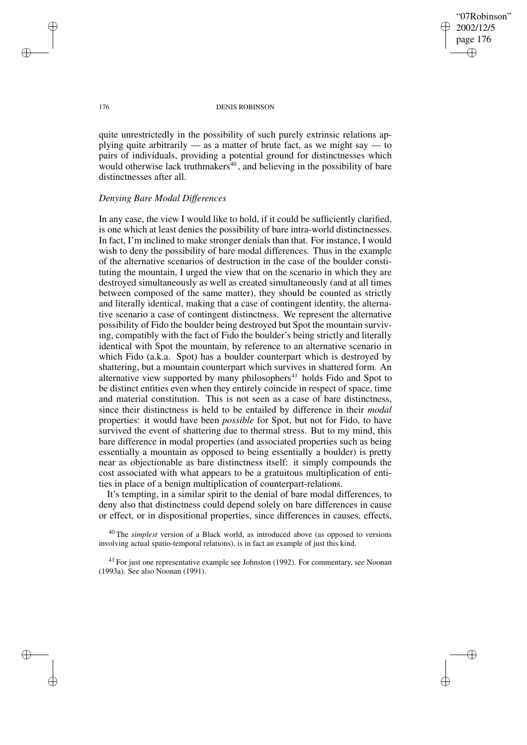"07Robinson" 2002/12/5 page 176 ✐ ✐

✐

✐

## 176 DENIS ROBINSON

quite unrestrictedly in the possibility of such purely extrinsic relations applying quite arbitrarily — as a matter of brute fact, as we might say — to pairs of individuals, providing a potential ground for distinctnesses which would otherwise lack truthmakers $\frac{40}{3}$ , and believing in the possibility of bare distinctnesses after all.

## *Denying Bare Modal Differences*

In any case, the view I would like to hold, if it could be sufficiently clarified, is one which at least denies the possibility of bare intra-world distinctnesses. In fact, I'm inclined to make stronger denials than that. For instance, I would wish to deny the possibility of bare modal differences. Thus in the example of the alternative scenarios of destruction in the case of the boulder constituting the mountain, I urged the view that on the scenario in which they are destroyed simultaneously as well as created simultaneously (and at all times between composed of the same matter), they should be counted as strictly and literally identical, making that a case of contingent identity, the alternative scenario a case of contingent distinctness. We represent the alternative possibility of Fido the boulder being destroyed but Spot the mountain surviving, compatibly with the fact of Fido the boulder's being strictly and literally identical with Spot the mountain, by reference to an alternative scenario in which Fido (a.k.a. Spot) has a boulder counterpart which is destroyed by shattering, but a mountain counterpart which survives in shattered form. An alternative view supported by many philosophers<sup>41</sup> holds Fido and Spot to be distinct entities even when they entirely coincide in respect of space, time and material constitution. This is not seen as a case of bare distinctness, since their distinctness is held to be entailed by difference in their *modal* properties: it would have been *possible* for Spot, but not for Fido, to have survived the event of shattering due to thermal stress. But to my mind, this bare difference in modal properties (and associated properties such as being essentially a mountain as opposed to being essentially a boulder) is pretty near as objectionable as bare distinctness itself: it simply compounds the cost associated with what appears to be a gratuitous multiplication of entities in place of a benign multiplication of counterpart-relations.

It's tempting, in a similar spirit to the denial of bare modal differences, to deny also that distinctness could depend solely on bare differences in cause or effect, or in dispositional properties, since differences in causes, effects,

<sup>40</sup> The *simplest* version of a Black world, as introduced above (as opposed to versions involving actual spatio-temporal relations), is in fact an example of just this kind.

✐

✐

✐

 $41$  For just one representative example see Johnston (1992). For commentary, see Noonan (1993a). See also Noonan (1991).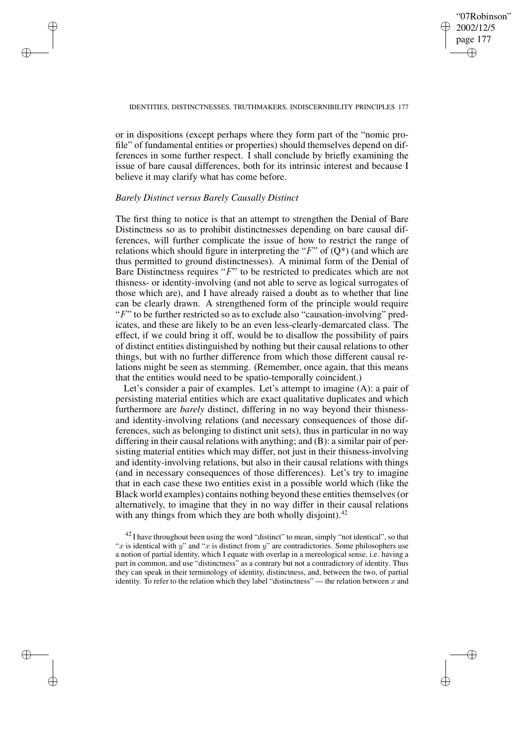# "07Robinson" 2002/12/5 page 177 ✐ ✐

✐

✐

## IDENTITIES, DISTINCTNESSES, TRUTHMAKERS, INDISCERNIBILITY PRINCIPLES 177

or in dispositions (except perhaps where they form part of the "nomic profile" of fundamental entities or properties) should themselves depend on differences in some further respect. I shall conclude by briefly examining the issue of bare causal differences, both for its intrinsic interest and because I believe it may clarify what has come before.

## *Barely Distinct versus Barely Causally Distinct*

✐

✐

✐

✐

The first thing to notice is that an attempt to strengthen the Denial of Bare Distinctness so as to prohibit distinctnesses depending on bare causal differences, will further complicate the issue of how to restrict the range of relations which should figure in interpreting the "F" of  $(Q^*)$  (and which are thus permitted to ground distinctnesses). A minimal form of the Denial of Bare Distinctness requires "F" to be restricted to predicates which are not thisness- or identity-involving (and not able to serve as logical surrogates of those which are), and I have already raised a doubt as to whether that line can be clearly drawn. A strengthened form of the principle would require "F" to be further restricted so as to exclude also "causation-involving" predicates, and these are likely to be an even less-clearly-demarcated class. The effect, if we could bring it off, would be to disallow the possibility of pairs of distinct entities distinguished by nothing but their causal relations to other things, but with no further difference from which those different causal relations might be seen as stemming. (Remember, once again, that this means that the entities would need to be spatio-temporally coincident.)

Let's consider a pair of examples. Let's attempt to imagine (A): a pair of persisting material entities which are exact qualitative duplicates and which furthermore are *barely* distinct, differing in no way beyond their thisnessand identity-involving relations (and necessary consequences of those differences, such as belonging to distinct unit sets), thus in particular in no way differing in their causal relations with anything; and (B): a similar pair of persisting material entities which may differ, not just in their thisness-involving and identity-involving relations, but also in their causal relations with things (and in necessary consequences of those differences). Let's try to imagine that in each case these two entities exist in a possible world which (like the Black world examples) contains nothing beyond these entities themselves (or alternatively, to imagine that they in no way differ in their causal relations with any things from which they are both wholly disjoint).<sup>42</sup>

 $42$  I have throughout been using the word "distinct" to mean, simply "not identical", so that "x is identical with y" and "x is distinct from y" are contradictories. Some philosophers use a notion of partial identity, which I equate with overlap in a mereological sense, i.e. having a part in common, and use "distinctness" as a contrary but not a contradictory of identity. Thus they can speak in their terminology of identity, distinctness, and, between the two, of partial identity. To refer to the relation which they label "distinctness" — the relation between x and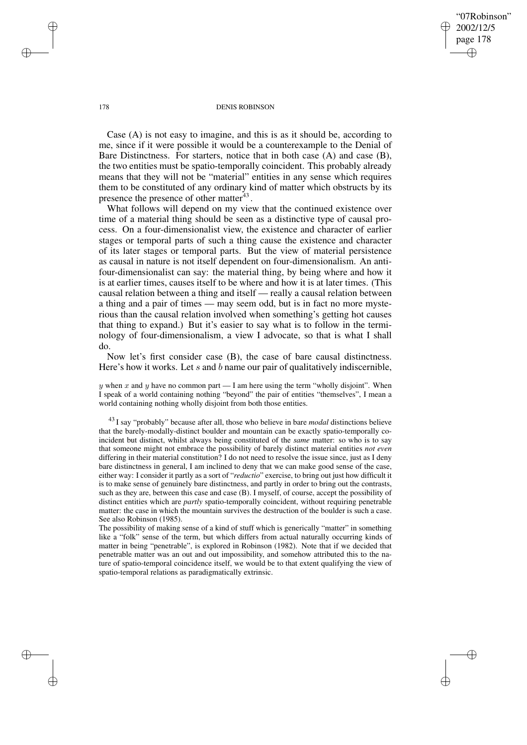"07Robinson" 2002/12/5 page 178 ✐ ✐

✐

✐

#### 178 DENIS ROBINSON

Case (A) is not easy to imagine, and this is as it should be, according to me, since if it were possible it would be a counterexample to the Denial of Bare Distinctness. For starters, notice that in both case (A) and case (B), the two entities must be spatio-temporally coincident. This probably already means that they will not be "material" entities in any sense which requires them to be constituted of any ordinary kind of matter which obstructs by its presence the presence of other matter<sup>43</sup>.

What follows will depend on my view that the continued existence over time of a material thing should be seen as a distinctive type of causal process. On a four-dimensionalist view, the existence and character of earlier stages or temporal parts of such a thing cause the existence and character of its later stages or temporal parts. But the view of material persistence as causal in nature is not itself dependent on four-dimensionalism. An antifour-dimensionalist can say: the material thing, by being where and how it is at earlier times, causes itself to be where and how it is at later times. (This causal relation between a thing and itself — really a causal relation between a thing and a pair of times — may seem odd, but is in fact no more mysterious than the causal relation involved when something's getting hot causes that thing to expand.) But it's easier to say what is to follow in the terminology of four-dimensionalism, a view I advocate, so that is what I shall do.

Now let's first consider case (B), the case of bare causal distinctness. Here's how it works. Let s and b name our pair of qualitatively indiscernible,

y when x and y have no common part — I am here using the term "wholly disjoint". When I speak of a world containing nothing "beyond" the pair of entities "themselves", I mean a world containing nothing wholly disjoint from both those entities.

<sup>43</sup> I say "probably" because after all, those who believe in bare *modal* distinctions believe that the barely-modally-distinct boulder and mountain can be exactly spatio-temporally coincident but distinct, whilst always being constituted of the *same* matter: so who is to say that someone might not embrace the possibility of barely distinct material entities *not even* differing in their material constitution? I do not need to resolve the issue since, just as I deny bare distinctness in general, I am inclined to deny that we can make good sense of the case, either way: I consider it partly as a sort of "*reductio*" exercise, to bring out just how difficult it is to make sense of genuinely bare distinctness, and partly in order to bring out the contrasts, such as they are, between this case and case (B). I myself, of course, accept the possibility of distinct entities which are *partly* spatio-temporally coincident, without requiring penetrable matter: the case in which the mountain survives the destruction of the boulder is such a case. See also Robinson (1985).

The possibility of making sense of a kind of stuff which is generically "matter" in something like a "folk" sense of the term, but which differs from actual naturally occurring kinds of matter in being "penetrable", is explored in Robinson (1982). Note that if we decided that penetrable matter was an out and out impossibility, and somehow attributed this to the nature of spatio-temporal coincidence itself, we would be to that extent qualifying the view of spatio-temporal relations as paradigmatically extrinsic.

✐

✐

✐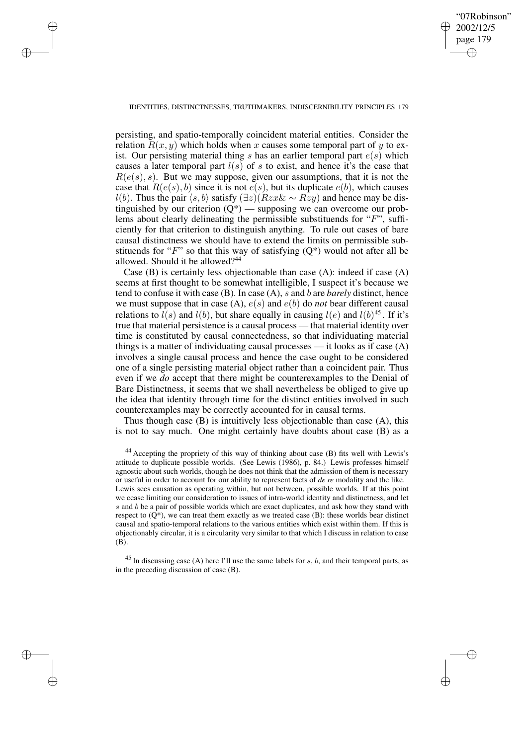✐

## IDENTITIES, DISTINCTNESSES, TRUTHMAKERS, INDISCERNIBILITY PRINCIPLES 179

✐

✐

✐

✐

persisting, and spatio-temporally coincident material entities. Consider the relation  $R(x, y)$  which holds when x causes some temporal part of y to exist. Our persisting material thing s has an earlier temporal part  $e(s)$  which causes a later temporal part  $l(s)$  of s to exist, and hence it's the case that  $R(e(s), s)$ . But we may suppose, given our assumptions, that it is not the case that  $R(e(s), b)$  since it is not  $e(s)$ , but its duplicate  $e(b)$ , which causes l(b). Thus the pair  $\langle s, b \rangle$  satisfy  $(\exists z)(Rzx\& \sim Rzy)$  and hence may be distinguished by our criterion  $(Q^*)$  — supposing we can overcome our problems about clearly delineating the permissible substituends for "F", sufficiently for that criterion to distinguish anything. To rule out cases of bare causal distinctness we should have to extend the limits on permissible substituends for "F" so that this way of satisfying  $(Q^*)$  would not after all be allowed. Should it be allowed?<sup>44</sup>

Case (B) is certainly less objectionable than case (A): indeed if case (A) seems at first thought to be somewhat intelligible, I suspect it's because we tend to confuse it with case (B). In case (A), s and b are *barely* distinct, hence we must suppose that in case  $(A)$ ,  $e(s)$  and  $e(b)$  do *not* bear different causal relations to  $l(s)$  and  $l(b)$ , but share equally in causing  $l(e)$  and  $l(b)^{45}$ . If it's true that material persistence is a causal process — that material identity over time is constituted by causal connectedness, so that individuating material things is a matter of individuating causal processes — it looks as if case (A) involves a single causal process and hence the case ought to be considered one of a single persisting material object rather than a coincident pair. Thus even if we *do* accept that there might be counterexamples to the Denial of Bare Distinctness, it seems that we shall nevertheless be obliged to give up the idea that identity through time for the distinct entities involved in such counterexamples may be correctly accounted for in causal terms.

Thus though case (B) is intuitively less objectionable than case (A), this is not to say much. One might certainly have doubts about case (B) as a

<sup>44</sup> Accepting the propriety of this way of thinking about case (B) fits well with Lewis's attitude to duplicate possible worlds. (See Lewis (1986), p. 84.) Lewis professes himself agnostic about such worlds, though he does not think that the admission of them is necessary or useful in order to account for our ability to represent facts of *de re* modality and the like. Lewis sees causation as operating within, but not between, possible worlds. If at this point we cease limiting our consideration to issues of intra-world identity and distinctness, and let  $s$  and  $b$  be a pair of possible worlds which are exact duplicates, and ask how they stand with respect to  $(Q^*)$ , we can treat them exactly as we treated case (B): these worlds bear distinct causal and spatio-temporal relations to the various entities which exist within them. If this is objectionably circular, it is a circularity very similar to that which I discuss in relation to case (B).

 $^{45}$  In discussing case (A) here I'll use the same labels for s, b, and their temporal parts, as in the preceding discussion of case (B).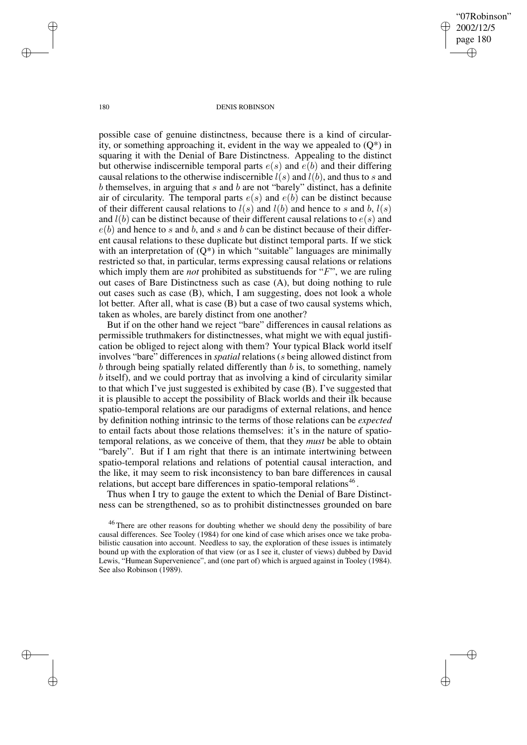"07Robinson" 2002/12/5 page 180 ✐ ✐

✐

✐

## 180 DENIS ROBINSON

possible case of genuine distinctness, because there is a kind of circularity, or something approaching it, evident in the way we appealed to  $(Q^*)$  in squaring it with the Denial of Bare Distinctness. Appealing to the distinct but otherwise indiscernible temporal parts  $e(s)$  and  $e(b)$  and their differing causal relations to the otherwise indiscernible  $l(s)$  and  $l(b)$ , and thus to s and  $b$  themselves, in arguing that  $s$  and  $b$  are not "barely" distinct, has a definite air of circularity. The temporal parts  $e(s)$  and  $e(b)$  can be distinct because of their different causal relations to  $l(s)$  and  $l(b)$  and hence to s and b,  $l(s)$ and  $l(b)$  can be distinct because of their different causal relations to  $e(s)$  and  $e(b)$  and hence to s and b, and s and b can be distinct because of their different causal relations to these duplicate but distinct temporal parts. If we stick with an interpretation of  $(Q^*)$  in which "suitable" languages are minimally restricted so that, in particular, terms expressing causal relations or relations which imply them are *not* prohibited as substituends for "F", we are ruling out cases of Bare Distinctness such as case (A), but doing nothing to rule out cases such as case (B), which, I am suggesting, does not look a whole lot better. After all, what is case (B) but a case of two causal systems which, taken as wholes, are barely distinct from one another?

But if on the other hand we reject "bare" differences in causal relations as permissible truthmakers for distinctnesses, what might we with equal justification be obliged to reject along with them? Your typical Black world itself involves "bare" differences in *spatial* relations (s being allowed distinct from b through being spatially related differently than  $b$  is, to something, namely b itself), and we could portray that as involving a kind of circularity similar to that which I've just suggested is exhibited by case (B). I've suggested that it is plausible to accept the possibility of Black worlds and their ilk because spatio-temporal relations are our paradigms of external relations, and hence by definition nothing intrinsic to the terms of those relations can be *expected* to entail facts about those relations themselves: it's in the nature of spatiotemporal relations, as we conceive of them, that they *must* be able to obtain "barely". But if I am right that there is an intimate intertwining between spatio-temporal relations and relations of potential causal interaction, and the like, it may seem to risk inconsistency to ban bare differences in causal relations, but accept bare differences in spatio-temporal relations<sup>46</sup>.

Thus when I try to gauge the extent to which the Denial of Bare Distinctness can be strengthened, so as to prohibit distinctnesses grounded on bare

<sup>46</sup> There are other reasons for doubting whether we should deny the possibility of bare causal differences. See Tooley (1984) for one kind of case which arises once we take probabilistic causation into account. Needless to say, the exploration of these issues is intimately bound up with the exploration of that view (or as I see it, cluster of views) dubbed by David Lewis, "Humean Supervenience", and (one part of) which is argued against in Tooley (1984). See also Robinson (1989).

✐

✐

✐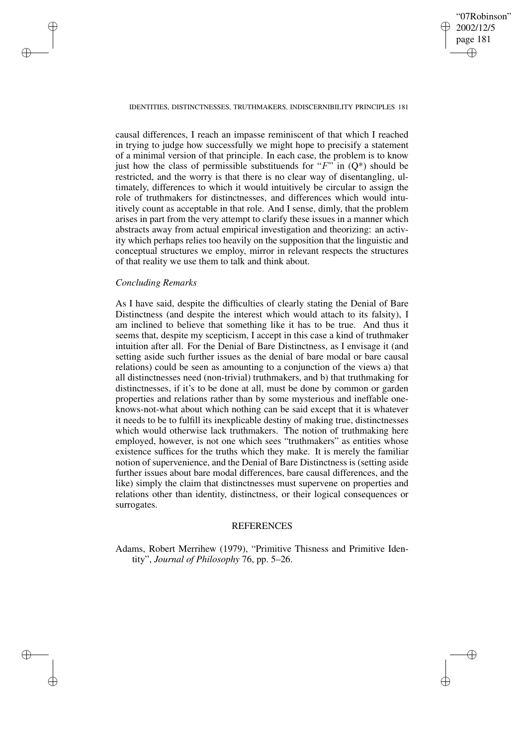✐

## IDENTITIES, DISTINCTNESSES, TRUTHMAKERS, INDISCERNIBILITY PRINCIPLES 181

causal differences, I reach an impasse reminiscent of that which I reached in trying to judge how successfully we might hope to precisify a statement of a minimal version of that principle. In each case, the problem is to know just how the class of permissible substituends for " $F$ " in  $(O^*)$  should be restricted, and the worry is that there is no clear way of disentangling, ultimately, differences to which it would intuitively be circular to assign the role of truthmakers for distinctnesses, and differences which would intuitively count as acceptable in that role. And I sense, dimly, that the problem arises in part from the very attempt to clarify these issues in a manner which abstracts away from actual empirical investigation and theorizing: an activity which perhaps relies too heavily on the supposition that the linguistic and conceptual structures we employ, mirror in relevant respects the structures of that reality we use them to talk and think about.

# *Concluding Remarks*

✐

✐

✐

✐

As I have said, despite the difficulties of clearly stating the Denial of Bare Distinctness (and despite the interest which would attach to its falsity), I am inclined to believe that something like it has to be true. And thus it seems that, despite my scepticism, I accept in this case a kind of truthmaker intuition after all. For the Denial of Bare Distinctness, as I envisage it (and setting aside such further issues as the denial of bare modal or bare causal relations) could be seen as amounting to a conjunction of the views a) that all distinctnesses need (non-trivial) truthmakers, and b) that truthmaking for distinctnesses, if it's to be done at all, must be done by common or garden properties and relations rather than by some mysterious and ineffable oneknows-not-what about which nothing can be said except that it is whatever it needs to be to fulfill its inexplicable destiny of making true, distinctnesses which would otherwise lack truthmakers. The notion of truthmaking here employed, however, is not one which sees "truthmakers" as entities whose existence suffices for the truths which they make. It is merely the familiar notion of supervenience, and the Denial of Bare Distinctness is (setting aside further issues about bare modal differences, bare causal differences, and the like) simply the claim that distinctnesses must supervene on properties and relations other than identity, distinctness, or their logical consequences or surrogates.

## REFERENCES

Adams, Robert Merrihew (1979), "Primitive Thisness and Primitive Identity", *Journal of Philosophy* 76, pp. 5–26.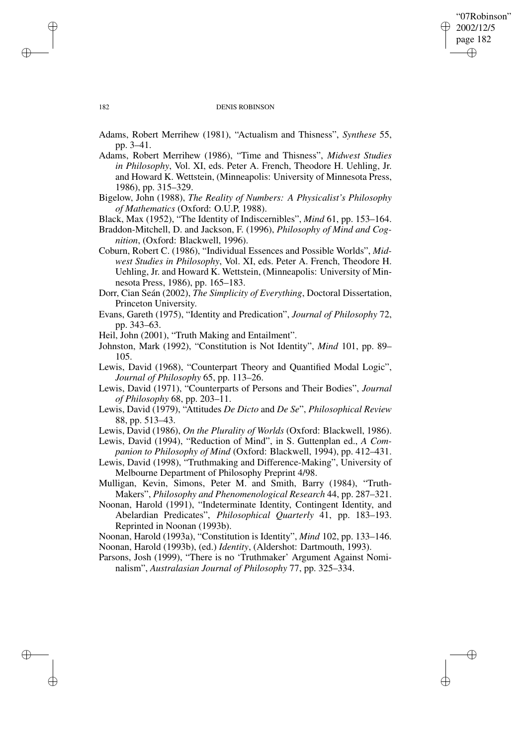# "07Robinson" 2002/12/5 page 182 ✐ ✐

✐

✐

## 182 DENIS ROBINSON

Adams, Robert Merrihew (1981), "Actualism and Thisness", *Synthese* 55, pp. 3–41.

- Adams, Robert Merrihew (1986), "Time and Thisness", *Midwest Studies in Philosophy*, Vol. XI, eds. Peter A. French, Theodore H. Uehling, Jr. and Howard K. Wettstein, (Minneapolis: University of Minnesota Press, 1986), pp. 315–329.
- Bigelow, John (1988), *The Reality of Numbers: A Physicalist's Philosophy of Mathematics* (Oxford: O.U.P, 1988).

Black, Max (1952), "The Identity of Indiscernibles", *Mind* 61, pp. 153–164.

Braddon-Mitchell, D. and Jackson, F. (1996), *Philosophy of Mind and Cognition*, (Oxford: Blackwell, 1996).

Coburn, Robert C. (1986), "Individual Essences and Possible Worlds", *Midwest Studies in Philosophy*, Vol. XI, eds. Peter A. French, Theodore H. Uehling, Jr. and Howard K. Wettstein, (Minneapolis: University of Minnesota Press, 1986), pp. 165–183.

- Dorr, Cian Seán (2002), *The Simplicity of Everything*, Doctoral Dissertation, Princeton University.
- Evans, Gareth (1975), "Identity and Predication", *Journal of Philosophy* 72, pp. 343–63.

Heil, John (2001), "Truth Making and Entailment".

- Johnston, Mark (1992), "Constitution is Not Identity", *Mind* 101, pp. 89– 105.
- Lewis, David (1968), "Counterpart Theory and Quantified Modal Logic", *Journal of Philosophy* 65, pp. 113–26.

Lewis, David (1971), "Counterparts of Persons and Their Bodies", *Journal of Philosophy* 68, pp. 203–11.

Lewis, David (1979), "Attitudes *De Dicto* and *De Se*", *Philosophical Review* 88, pp. 513–43.

Lewis, David (1986), *On the Plurality of Worlds* (Oxford: Blackwell, 1986).

- Lewis, David (1994), "Reduction of Mind", in S. Guttenplan ed., *A Companion to Philosophy of Mind* (Oxford: Blackwell, 1994), pp. 412–431.
- Lewis, David (1998), "Truthmaking and Difference-Making", University of Melbourne Department of Philosophy Preprint 4/98.

Mulligan, Kevin, Simons, Peter M. and Smith, Barry (1984), "Truth-Makers", *Philosophy and Phenomenological Research* 44, pp. 287–321.

Noonan, Harold (1991), "Indeterminate Identity, Contingent Identity, and Abelardian Predicates", *Philosophical Quarterly* 41, pp. 183–193. Reprinted in Noonan (1993b).

Noonan, Harold (1993a), "Constitution is Identity", *Mind* 102, pp. 133–146. Noonan, Harold (1993b), (ed.) *Identity*, (Aldershot: Dartmouth, 1993).

Parsons, Josh (1999), "There is no 'Truthmaker' Argument Against Nominalism", *Australasian Journal of Philosophy* 77, pp. 325–334.

✐

✐

✐